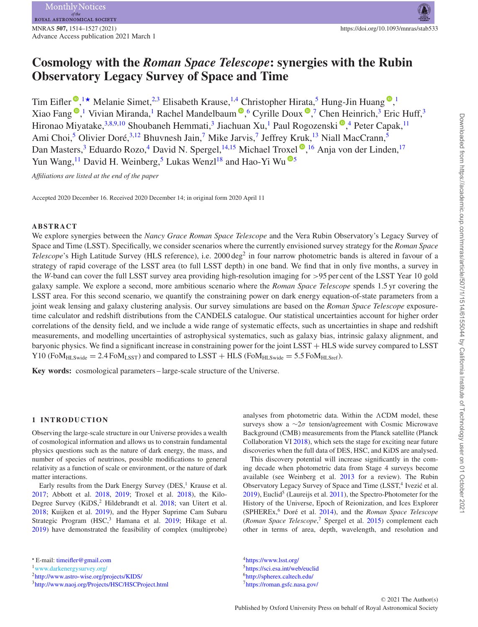# **Cosmology with the** *Roman Space Telescope***: synergies with the Rubin Observatory Legacy Survey of Space and Time**

Tim Eifler<sup>®</sup>[,](http://orcid.org/0000-0003-2448-3919)<sup>[1](#page-13-0)★</sup> Melanie Simet,<sup>[2](#page-13-1)[,3](#page-13-2)</sup> Elisabeth Krause,<sup>[1,](#page-13-0)[4](#page-13-3)</sup> Christopher Hirata,<sup>[5](#page-13-4)</sup> Hung-Jin Huang®,<sup>1</sup> Xiao Fang<sup>®</sup>[,](http://orcid.org/0000-0003-4480-0096)<sup>[1](#page-13-0)</sup> Vivian Miranda,<sup>1</sup> Rachel Mandelbaum®,<sup>[6](#page-13-5)</sup> Cyrille Doux®,<sup>[7](#page-13-6)</sup> Chen Heinrich,<sup>3</sup> Eric Huff,<sup>3</sup> Hironao Miyatake,<sup>3[,8,](#page-13-7)[9,](#page-13-8)[10](#page-13-9)</sup> Shoubaneh Hemmati,<sup>[3](#page-13-2)</sup> Jiachuan Xu[,](http://orcid.org/0000-0002-1408-6904)<sup>1</sup> Paul Rogozenski ®,<sup>[4](#page-13-3)</sup> Peter Capak,<sup>11</sup> Ami Choi,<sup>[5](#page-13-4)</sup> Olivier Doré,<sup>[3](#page-13-2)[,12](#page-13-11)</sup> Bhuvnesh Jain,<sup>7</sup> Mike Jarvis,<sup>7</sup> Jeffrey Kruk,<sup>[13](#page-13-12)</sup> Niall MacCrann,<sup>5</sup> Dan Masters,<sup>3</sup> Eduardo Rozo,<sup>4</sup> David N. Spergel,<sup>[14](#page-13-13)[,15](#page-13-14)</sup> Michael Troxel ®[,](http://orcid.org/0000-0002-5622-5212)<sup>[16](#page-13-15)</sup> Anja von der Linden,<sup>[17](#page-13-16)</sup> Yun Wang,<sup>11</sup> David H. Weinberg,<sup>[5](#page-13-4)</sup> Lukas Wenzl<sup>18</sup> and Hao-Yi Wu<sup> $\bullet$ 5</sup>

*Affiliations are listed at the end of the paper*

Accepted 2020 December 16. Received 2020 December 14; in original form 2020 April 11

# **ABSTRACT**

We explore synergies between the *Nancy Grace Roman Space Telescope* and the Vera Rubin Observatory's Legacy Survey of Space and Time (LSST). Specifically, we consider scenarios where the currently envisioned survey strategy for the *Roman Space Telescope*'s High Latitude Survey (HLS reference), i.e. 2000 deg<sup>2</sup> in four narrow photometric bands is altered in favour of a strategy of rapid coverage of the LSST area (to full LSST depth) in one band. We find that in only five months, a survey in the *W*-band can cover the full LSST survey area providing high-resolution imaging for *>*95 per cent of the LSST Year 10 gold galaxy sample. We explore a second, more ambitious scenario where the *Roman Space Telescope* spends 1.5 yr covering the LSST area. For this second scenario, we quantify the constraining power on dark energy equation-of-state parameters from a joint weak lensing and galaxy clustering analysis. Our survey simulations are based on the *Roman Space Telescope* exposuretime calculator and redshift distributions from the CANDELS catalogue. Our statistical uncertainties account for higher order correlations of the density field, and we include a wide range of systematic effects, such as uncertainties in shape and redshift measurements, and modelling uncertainties of astrophysical systematics, such as galaxy bias, intrinsic galaxy alignment, and baryonic physics. We find a significant increase in constraining power for the joint LSST + HLS wide survey compared to LSST  $Y10$  (Fo $M_{HLSwide} = 2.4$  Fo $M_{LSST}$ ) and compared to LSST + HLS (Fo $M_{HLSwide} = 5.5$  Fo $M_{HLSref}$ ).

**Key words:** cosmological parameters – large-scale structure of the Universe.

## **1 INTRODUCTION**

Observing the large-scale structure in our Universe provides a wealth of cosmological information and allows us to constrain fundamental physics questions such as the nature of dark energy, the mass, and number of species of neutrinos, possible modifications to general relativity as a function of scale or environment, or the nature of dark matter interactions.

Early results from the Dark Energy Survey ( $DES$ ,<sup>1</sup> Krause et al. [2017;](#page-12-0) Abbott et al. [2018,](#page-12-1) [2019;](#page-12-2) Troxel et al. [2018\)](#page-13-18), the Kilo-Degree Survey (KiDS,<sup>2</sup> Hildebrandt et al. [2018;](#page-12-3) van Uitert et al. [2018;](#page-13-19) Kuijken et al. [2019\)](#page-12-4), and the Hyper Suprime Cam Subaru Strategic Program (HSC,<sup>3</sup> Hamana et al. [2019;](#page-12-5) Hikage et al. [2019\)](#page-12-6) have demonstrated the feasibility of complex (multiprobe) analyses from photometric data. Within the  $\Lambda$ CDM model, these surveys show a ∼2*σ* tension/agreement with Cosmic Microwave Background (CMB) measurements from the Planck satellite (Planck Collaboration VI [2018\)](#page-13-20), which sets the stage for exciting near future discoveries when the full data of DES, HSC, and KiDS are analysed.

This discovery potential will increase significantly in the coming decade when photometric data from Stage 4 surveys become available (see Weinberg et al. [2013](#page-13-21) for a review). The Rubin Observatory Legacy Survey of Space and Time (LSST,<sup>4</sup> Ivezic et al.  $2019$ ), Euclid<sup>5</sup> (Laureijs et al.  $2011$ ), the Spectro-Photometer for the History of the Universe, Epoch of Reionization, and Ices Explorer (SPHEREx,<sup>6</sup> Doré et al. [2014\)](#page-12-9), and the *Roman Space Telescope* (*Roman Space Telescope*, <sup>7</sup> Spergel et al. [2015\)](#page-13-22) complement each other in terms of area, depth, wavelength, and resolution and

<span id="page-0-0"></span>*<sup>-</sup>* E-mail: [timeifler@gmail.com](mailto:timeifler@gmail.com)

<sup>1</sup>www.darkenergysurvey.org/

[<sup>2</sup>http://www.astro-wise.org/projects/KIDS/](http://www.astro-wise.org/projects/KIDS/)

[<sup>3</sup>http://www.naoj.org/Projects/HSC/HSCProject.html](http://www.naoj.org/Projects/HSC/HSCProject.html)

[<sup>4</sup>https://www.lsst.org/](https://www.lsst.org/) [5https://sci.esa.int/web/euclid](https://sci.esa.int/web/euclid) [6http://spherex.caltech.edu/](http://spherex.caltech.edu/) [7https://roman.gsfc.nasa.gov/](https://roman.gsfc.nasa.gov/)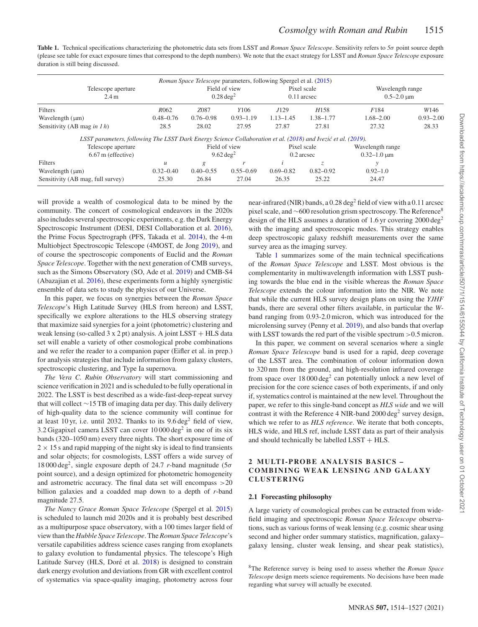<span id="page-1-0"></span>**Table 1.** Technical specifications characterizing the photometric data sets from LSST and *Roman Space Telescope*. Sensitivity refers to *5σ* point source depth (please see table for exact exposure times that correspond to the depth numbers). We note that the exact strategy for LSST and *Roman Space Telescope* exposure duration is still being discussed.

|                                                                                                               |                                       |               | <i>Roman Space Telescope</i> parameters, following Spergel et al. (2015) |               |                                       |                    |               |
|---------------------------------------------------------------------------------------------------------------|---------------------------------------|---------------|--------------------------------------------------------------------------|---------------|---------------------------------------|--------------------|---------------|
| Telescope aperture                                                                                            | Field of view<br>$0.28 \text{ deg}^2$ |               | Pixel scale<br>$0.11$ arcsec                                             |               | Wavelength range<br>$0.5 - 2.0 \mu m$ |                    |               |
| 2.4 m                                                                                                         |                                       |               |                                                                          |               |                                       |                    |               |
| Filters                                                                                                       | R <sub>062</sub>                      | Z087          | Y <sub>106</sub>                                                         | J129          | H <sub>158</sub>                      | F184               | W146          |
| Wavelength $(\mu m)$                                                                                          | $0.48 - 0.76$                         | $0.76 - 0.98$ | $0.93 - 1.19$                                                            | $1.13 - 1.45$ | $1.38 - 1.77$                         | $1.68 - 2.00$      | $0.93 - 2.00$ |
| Sensitivity (AB mag in $1 h$ )                                                                                | 28.5                                  | 28.02         | 27.95                                                                    | 27.87         | 27.81                                 | 27.32              | 28.33         |
| LSST parameters, following The LSST Dark Energy Science Collaboration et al. (2018) and Ivezić et al. (2019). |                                       |               |                                                                          |               |                                       |                    |               |
| Telescope aperture                                                                                            |                                       | Field of view |                                                                          | Pixel scale   |                                       | Wavelength range   |               |
| 6.67 m (effective)                                                                                            |                                       | 9.62 $deg2$   |                                                                          | $0.2$ arcsec  |                                       | $0.32 - 1.0 \mu m$ |               |
| Filters                                                                                                       | $\mathcal{U}$                         | g             |                                                                          |               | Z.                                    |                    |               |
| Wavelength $(\mu m)$                                                                                          | $0.32 - 0.40$                         | $0.40 - 0.55$ | $0.55 - 0.69$                                                            | $0.69 - 0.82$ | $0.82 - 0.92$                         | $0.92 - 1.0$       |               |
| Sensitivity (AB mag, full survey)                                                                             | 25.30                                 | 26.84         | 27.04                                                                    | 26.35         | 25.22                                 | 24.47              |               |

will provide a wealth of cosmological data to be mined by the community. The concert of cosmological endeavors in the 2020s also includes several spectroscopic experiments, e.g. the Dark Energy Spectroscopic Instrument (DESI, DESI Collaboration et al. [2016\)](#page-12-10), the Prime Focus Spectrograph (PFS, Takada et al. [2014\)](#page-13-24), the 4-m Multiobject Spectroscopic Telescope (4MOST, de Jong [2019\)](#page-12-11), and of course the spectroscopic components of Euclid and the *Roman Space Telescope*. Together with the next generation of CMB surveys, such as the Simons Observatory (SO, Ade et al. [2019\)](#page-12-12) and CMB-S4 (Abazajian et al. [2016\)](#page-12-13), these experiments form a highly synergistic ensemble of data sets to study the physics of our Universe.

In this paper, we focus on synergies between the *Roman Space Telescope*'s High Latitude Survey (HLS from hereon) and LSST, specifically we explore alterations to the HLS observing strategy that maximize said synergies for a joint (photometric) clustering and weak lensing (so-called 3 x 2 pt) analysis. A joint LSST + HLS data set will enable a variety of other cosmological probe combinations and we refer the reader to a companion paper (Eifler et al. in prep.) for analysis strategies that include information from galaxy clusters, spectroscopic clustering, and Type Ia supernova.

*The Vera C. Rubin Observatory* will start commissioning and science verification in 2021 and is scheduled to be fully operational in 2022. The LSST is best described as a wide-fast-deep-repeat survey that will collect ∼15 TB of imaging data per day. This daily delivery of high-quality data to the science community will continue for at least 10 yr, i.e. until 2032. Thanks to its  $9.6 \text{ deg}^2$  field of view, 3.2 Gigapixel camera LSST can cover  $10000 \text{ deg}^2$  in one of its six bands (320–1050 nm) every three nights. The short exposure time of  $2 \times 15$  s and rapid mapping of the night sky is ideal to find transients and solar objects; for cosmologists, LSST offers a wide survey of 18 000 deg<sup>2</sup>, single exposure depth of 24.7 *r*-band magnitude (5 $\sigma$ point source), and a design optimized for photometric homogeneity and astrometric accuracy. The final data set will encompass *>*20 billion galaxies and a coadded map down to a depth of *r*-band magnitude 27.5.

*The Nancy Grace Roman Space Telescope* (Spergel et al. [2015\)](#page-13-22) is scheduled to launch mid 2020s and it is probably best described as a multipurpose space observatory, with a 100 times larger field of view than the *Hubble Space Telescope*. The *Roman Space Telescope*'s versatile capabilities address science cases ranging from exoplanets to galaxy evolution to fundamental physics. The telescope's High Latitude Survey (HLS, Doré et al. [2018\)](#page-12-14) is designed to constrain dark energy evolution and deviations from GR with excellent control of systematics via space-quality imaging, photometry across four near-infrared (NIR) bands, a 0.28 deg<sup>2</sup> field of view with a 0.11 arcsec pixel scale, and ∼600 resolution grism spectroscopy. The Reference<sup>8</sup> design of the HLS assumes a duration of 1.6 yr covering 2000 deg2 with the imaging and spectroscopic modes. This strategy enables deep spectroscopic galaxy redshift measurements over the same survey area as the imaging survey.

Table [1](#page-1-0) summarizes some of the main technical specifications of the *Roman Space Telescope* and LSST. Most obvious is the complementarity in multiwavelength information with LSST pushing towards the blue end in the visible whereas the *Roman Space Telescope* extends the colour information into the NIR. We note that while the current HLS survey design plans on using the *YJHF* bands, there are several other filters available, in particular the *W*band ranging from 0.93-2.0 micron, which was introduced for the microlensing survey (Penny et al. [2019\)](#page-13-25), and also bands that overlap with LSST towards the red part of the visible spectrum *>*0.5 micron.

In this paper, we comment on several scenarios where a single *Roman Space Telescope* band is used for a rapid, deep coverage of the LSST area. The combination of colour information down to 320 nm from the ground, and high-resolution infrared coverage from space over  $18000 \text{ deg}^2$  can potentially unlock a new level of precision for the core science cases of both experiments, if and only if, systematics control is maintained at the new level. Throughout the paper, we refer to this single-band concept as *HLS wide* and we will contrast it with the Reference 4 NIR-band  $2000 \text{ deg}^2$  survey design, which we refer to as *HLS reference*. We iterate that both concepts, HLS wide, and HLS ref, include LSST data as part of their analysis and should technically be labelled  $LSST + HLS$ .

## **2 MULTI -PROBE ANALYSIS BASICS – COMBINING WEAK LENSING AND GALAXY CLUSTERING**

## **2.1 Forecasting philosophy**

A large variety of cosmological probes can be extracted from widefield imaging and spectroscopic *Roman Space Telescope* observations, such as various forms of weak lensing (e.g. cosmic shear using second and higher order summary statistics, magnification, galaxy– galaxy lensing, cluster weak lensing, and shear peak statistics),

8The Reference survey is being used to assess whether the *Roman Space Telescope* design meets science requirements. No decisions have been made regarding what survey will actually be executed.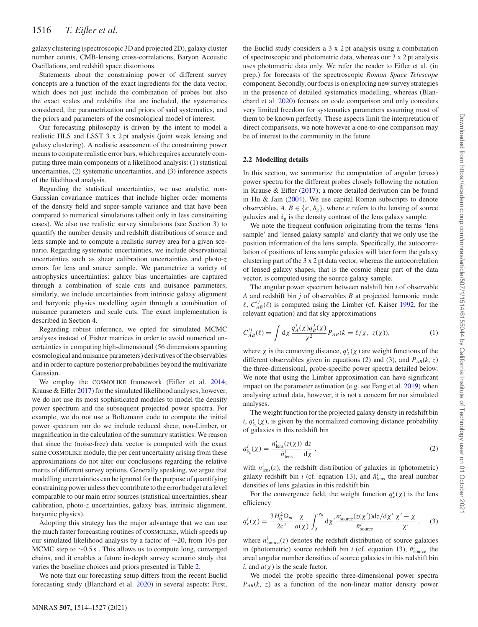galaxy clustering (spectroscopic 3D and projected 2D), galaxy cluster number counts, CMB-lensing cross-correlations, Baryon Acoustic Oscillations, and redshift space distortions.

Statements about the constraining power of different survey concepts are a function of the exact ingredients for the data vector, which does not just include the combination of probes but also the exact scales and redshifts that are included, the systematics considered, the parametrization and priors of said systematics, and the priors and parameters of the cosmological model of interest.

Our forecasting philosophy is driven by the intent to model a realistic HLS and LSST 3 x 2 pt analysis (joint weak lensing and galaxy clustering). A realistic assessment of the constraining power means to compute realistic error bars, which requires accurately computing three main components of a likelihood analysis: (1) statistical uncertainties, (2) systematic uncertainties, and (3) inference aspects of the likelihood analysis.

Regarding the statistical uncertainties, we use analytic, non-Gaussian covariance matrices that include higher order moments of the density field and super-sample variance and that have been compared to numerical simulations (albeit only in less constraining cases). We also use realistic survey simulations (see Section 3) to quantify the number density and redshift distributions of source and lens sample and to compute a realistic survey area for a given scenario. Regarding systematic uncertainties, we include observational uncertainties such as shear calibration uncertainties and photo-*z* errors for lens and source sample. We parametrize a variety of astrophysics uncertainties: galaxy bias uncertainties are captured through a combination of scale cuts and nuisance parameters; similarly, we include uncertainties from intrinsic galaxy alignment and baryonic physics modelling again through a combination of nuisance parameters and scale cuts. The exact implementation is described in Section 4.

Regarding robust inference, we opted for simulated MCMC analyses instead of Fisher matrices in order to avoid numerical uncertainties in computing high-dimensional (56 dimensions spanning cosmological and nuisance parameters) derivatives of the observables and in order to capture posterior probabilities beyond the multivariate Gaussian.

We employ the COSMOLIKE framework (Eifler et al. [2014;](#page-12-15) Krause & Eifler [2017\)](#page-12-16) for the simulated likelihood analyses, however, we do not use its most sophisticated modules to model the density power spectrum and the subsequent projected power spectra. For example, we do not use a Boltzmann code to compute the initial power spectrum nor do we include reduced shear, non-Limber, or magnification in the calculation of the summary statistics. We reason that since the (noise-free) data vector is computed with the exact same COSMOLIKE module, the per cent uncertainty arising from these approximations do not alter our conclusions regarding the relative merits of different survey options. Generally speaking, we argue that modelling uncertainties can be ignored for the purpose of quantifying constraining power unless they contribute to the error budget at a level comparable to our main error sources (statistical uncertainties, shear calibration, photo-*z* uncertainties, galaxy bias, intrinsic alignment, baryonic physics).

Adopting this strategy has the major advantage that we can use the much faster forecasting routines of COSMOLIKE, which speeds up our simulated likelihood analysis by a factor of ∼20, from 10 s per MCMC step to ∼0.5 s. This allows us to compute long, converged chains, and it enables a future in-depth survey scenario study that varies the baseline choices and priors presented in Table [2.](#page-3-0)

We note that our forecasting setup differs from the recent Euclid forecasting study (Blanchard et al. [2020\)](#page-12-17) in several aspects: First, the Euclid study considers a 3 x 2 pt analysis using a combination of spectroscopic and photometric data, whereas our 3 x 2 pt analysis uses photometric data only. We refer the reader to Eifler et al. (in prep.) for forecasts of the spectroscopic *Roman Space Telescope* component. Secondly, our focus is on exploring new survey strategies in the presence of detailed systematics modelling, whereas (Blanchard et al. [2020\)](#page-12-17) focuses on code comparison and only considers very limited freedom for systematics parameters assuming most of them to be known perfectly. These aspects limit the interpretation of direct comparisons, we note however a one-to-one comparison may be of interest to the community in the future.

#### **2.2 Modelling details**

In this section, we summarize the computation of angular (cross) power spectra for the different probes closely following the notation in Krause & Eifler [\(2017\)](#page-12-16); a more detailed derivation can be found in Hu & Jain [\(2004\)](#page-12-18). We use capital Roman subscripts to denote observables,  $A, B \in \{\kappa, \delta_{\mathfrak{g}}\}$ , where  $\kappa$  refers to the lensing of source galaxies and  $\delta_g$  is the density contrast of the lens galaxy sample.

We note the frequent confusion originating from the terms 'lens sample' and 'lensed galaxy sample' and clarify that we only use the position information of the lens sample. Specifically, the autocorrelation of positions of lens sample galaxies will later form the galaxy clustering part of the 3 x 2 pt data vector, whereas the autocorrelation of lensed galaxy shapes, that is the cosmic shear part of the data vector, is computed using the source galaxy sample.

The angular power spectrum between redshift bin *i* of observable *A* and redshift bin *j* of observables *B* at projected harmonic mode  $\ell$ ,  $C_{AB}^{ij}(\ell)$  is computed using the Limber (cf. Kaiser [1992,](#page-12-19) for the relevant equation) and flat sky approximations

$$
C_{AB}^{ij}(\ell) = \int d\chi \frac{q_A^i(\chi)q_B^j(\chi)}{\chi^2} P_{AB}(k = \ell/\chi, z(\chi)), \tag{1}
$$

where  $\chi$  is the comoving distance,  $q_A^i(\chi)$  are weight functions of the different observables given in equations (2) and (3), and  $P_{AB}(k, z)$ the three-dimensional, probe-specific power spectra detailed below. We note that using the Limber approximation can have significant impact on the parameter estimation (e.g. see Fang et al. [2019\)](#page-12-20) when analysing actual data, however, it is not a concern for our simulated analyses.

The weight function for the projected galaxy density in redshift bin *i*,  $q_{\delta_{g}}^{i}(\chi)$ , is given by the normalized comoving distance probability of galaxies in this redshift bin

$$
q_{\delta_{\rm g}}^i(\chi) = \frac{n_{\rm lens}^i(z(\chi))}{\bar{n}_{\rm lens}^i} \frac{\mathrm{d}z}{\mathrm{d}\chi},\tag{2}
$$

with  $n_{\text{lens}}^i(z)$ , the redshift distribution of galaxies in (photometric) galaxy redshift bin *i* (cf. equation 13), and  $\bar{n}_{\text{lens}}^i$  the areal number densities of lens galaxies in this redshift bin.

For the convergence field, the weight function  $q_k^i(\chi)$  is the lens efficiency

$$
q_{\kappa}^{i}(\chi) = \frac{3H_{0}^{2}\Omega_{m}}{2c^{2}}\frac{\chi}{a(\chi)}\int_{\chi}^{\chi_{h}} d\chi' \frac{n_{\text{source}}^{i}(z(\chi'))d\chi/d\chi'}{\bar{n}_{\text{source}}^{i}}\frac{\chi'-\chi}{\chi'},\quad(3)
$$

where  $n_{\text{source}}^i(z)$  denotes the redshift distribution of source galaxies in (photometric) source redshift bin *i* (cf. equation 13),  $\bar{n}$ <sup>*i*</sup>s source the areal angular number densities of source galaxies in this redshift bin *i*, and *a*(*χ*) is the scale factor.

We model the probe specific three-dimensional power spectra  $P_{AB}(k, z)$  as a function of the non-linear matter density power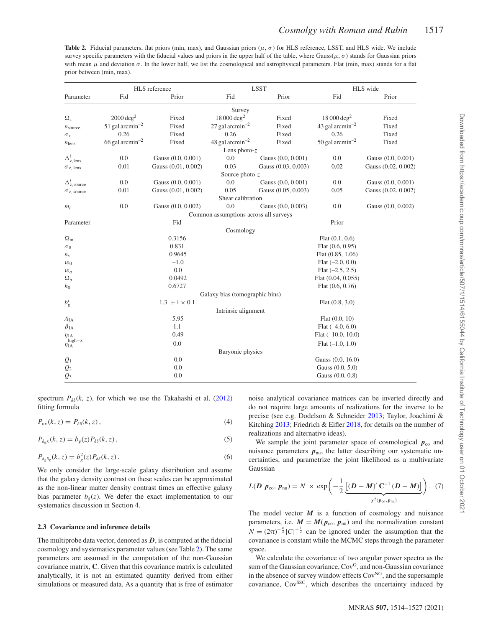<span id="page-3-0"></span>**Table 2.** Fiducial parameters, flat priors (min, max), and Gaussian priors ( $\mu$ ,  $\sigma$ ) for HLS reference, LSST, and HLS wide. We include survey specific parameters with the fiducial values and priors in the upper half of the table, where  $Gauss(\mu, \sigma)$  stands for Gaussian priors with mean  $\mu$  and deviation  $\sigma$ . In the lower half, we list the cosmological and astrophysical parameters. Flat (min, max) stands for a flat prior between (min, max).

|                                    | HLS reference                 |                      |                                       | <b>LSST</b>         | HLS wide                      |                     |
|------------------------------------|-------------------------------|----------------------|---------------------------------------|---------------------|-------------------------------|---------------------|
| Parameter                          | Fid                           | Prior                | Fid                                   | Prior               | Fid                           | Prior               |
|                                    |                               |                      | Survey                                |                     |                               |                     |
| $\Omega_{\rm s}$                   | $2000 \text{ deg}^2$          | Fixed                | $18000 \text{ deg}^2$                 | Fixed               | $18000 \text{ deg}^2$         | Fixed               |
| $n_{\text{source}}$                | 51 gal arcmin <sup>-2</sup>   | Fixed                | 27 gal arcmin <sup>-2</sup>           | Fixed               | 43 gal arcmin <sup>-2</sup>   | Fixed               |
| $\sigma_{\epsilon}$                | 0.26                          | Fixed                | 0.26                                  | Fixed               | 0.26                          | Fixed               |
| $n_{\text{lens}}$                  | $66$ gal arcmin <sup>-2</sup> | Fixed                | 48 gal arcmin <sup>-2</sup>           | Fixed               | $50$ gal arcmin <sup>-2</sup> | Fixed               |
|                                    |                               |                      | Lens photo- $z$                       |                     |                               |                     |
| $\Delta^i_{\rm z,lens}$            | 0.0                           | Gauss (0.0, 0.001)   | 0.0                                   | Gauss (0.0, 0.001)  | 0.0                           | Gauss (0.0, 0.001)  |
| $\sigma_{z, lens}$                 | 0.01                          | Gauss (0.01, 0.002)  | 0.03                                  | Gauss (0.03, 0.003) | 0.02                          | Gauss (0.02, 0.002) |
|                                    |                               |                      | Source photo- $z$                     |                     |                               |                     |
| $\Delta_{\rm z, source}^{i}$       | 0.0                           | Gauss (0.0, 0.001)   | 0.0                                   | Gauss (0.0, 0.001)  | 0.0                           | Gauss (0.0, 0.001)  |
| $\sigma_{z, \text{ source}}$       | 0.01                          | Gauss (0.01, 0.002)  | 0.05                                  | Gauss (0.05, 0.003) | 0.05                          | Gauss (0.02, 0.002) |
|                                    |                               |                      | Shear calibration                     |                     |                               |                     |
| $m_i$                              | 0.0                           | Gauss (0.0, 0.002)   | 0.0                                   | Gauss (0.0, 0.003)  | 0.0                           | Gauss (0.0, 0.002)  |
|                                    |                               |                      | Common assumptions across all surveys |                     |                               |                     |
| Parameter                          |                               | Fid                  |                                       |                     | Prior                         |                     |
|                                    |                               |                      | Cosmology                             |                     |                               |                     |
| $\Omega_{\rm m}$                   |                               | 0.3156               |                                       |                     | Flat $(0.1, 0.6)$             |                     |
| $\sigma_8$                         |                               | 0.831                |                                       |                     | Flat $(0.6, 0.95)$            |                     |
| $n_{\rm s}$                        |                               | 0.9645               |                                       |                     | Flat $(0.85, 1.06)$           |                     |
| $w_0$                              |                               | $-1.0$               |                                       |                     | Flat $(-2.0, 0.0)$            |                     |
| $w_a$                              |                               | 0.0                  |                                       |                     | Flat $(-2.5, 2.5)$            |                     |
| $\Omega_{\rm b}$                   |                               | 0.0492               |                                       |                     | Flat $(0.04, 0.055)$          |                     |
| $h_0$                              |                               | 0.6727               |                                       |                     | Flat $(0.6, 0.76)$            |                     |
|                                    |                               |                      | Galaxy bias (tomographic bins)        |                     |                               |                     |
| $b_{\rm g}^i$                      |                               | $1.3 + i \times 0.1$ |                                       |                     | Flat $(0.8, 3.0)$             |                     |
|                                    |                               |                      | Intrinsic alignment                   |                     |                               |                     |
| $A_{IA}$                           |                               | 5.95                 |                                       |                     | Flat $(0.0, 10)$              |                     |
| $\beta_{\rm IA}$                   |                               | 1.1                  |                                       |                     | Flat $(-4.0, 6.0)$            |                     |
| $\eta$ IA                          |                               | 0.49                 |                                       |                     | $Flat (-10.0, 10.0)$          |                     |
| $\eta_{\text{IA}}^{\text{high-z}}$ |                               | 0.0                  |                                       |                     | Flat $(-1.0, 1.0)$            |                     |
|                                    |                               |                      | Baryonic physics                      |                     |                               |                     |
| $Q_1$                              |                               | 0.0                  |                                       |                     | Gauss (0.0, 16.0)             |                     |
| $\mathcal{Q}_2$                    |                               | 0.0                  |                                       |                     | Gauss (0.0, 5.0)              |                     |
| $\mathcal{Q}_3$                    |                               | 0.0                  |                                       |                     | Gauss (0.0, 0.8)              |                     |

spectrum  $P_{\delta\delta}(k, z)$ , for which we use the Takahashi et al. [\(2012\)](#page-13-26) fitting formula

$$
P_{\kappa\kappa}(k,z) = P_{\delta\delta}(k,z),\tag{4}
$$

 $P_{\delta_e \kappa}(k, z) = b_g(z) P_{\delta \delta}(k, z)$ , (5)

$$
P_{\delta_g \delta_g}(k, z) = b_g^2(z) P_{\delta \delta}(k, z).
$$
 (6)

We only consider the large-scale galaxy distribution and assume that the galaxy density contrast on these scales can be approximated as the non-linear matter density contrast times an effective galaxy bias parameter  $b_g(z)$ . We defer the exact implementation to our systematics discussion in Section 4.

## **2.3 Covariance and inference details**

The multiprobe data vector, denoted as *D*, is computed at the fiducial cosmology and systematics parameter values (see Table [2\)](#page-3-0). The same parameters are assumed in the computation of the non-Gaussian covariance matrix, **C**. Given that this covariance matrix is calculated analytically, it is not an estimated quantity derived from either simulations or measured data. As a quantity that is free of estimator noise analytical covariance matrices can be inverted directly and do not require large amounts of realizations for the inverse to be precise (see e.g. Dodelson & Schneider [2013;](#page-12-21) Taylor, Joachimi & Kitching [2013;](#page-13-27) Friedrich & Eifler [2018,](#page-12-22) for details on the number of realizations and alternative ideas).

We sample the joint parameter space of cosmological  $p_{\rm co}$  and nuisance parameters  $p_{\text{nu}}$ , the latter describing our systematic uncertainties, and parametrize the joint likelihood as a multivariate Gaussian

$$
L(\boldsymbol{D}|\boldsymbol{p}_{\text{co}},\boldsymbol{p}_{\text{nu}})=N \times \exp\left(-\frac{1}{2}\underbrace{\left[(\boldsymbol{D}-\boldsymbol{M})^t\,\mathbf{C}^{-1}\,(\boldsymbol{D}-\boldsymbol{M})\right]}_{\chi^2(\boldsymbol{p}_{\text{co}},\boldsymbol{p}_{\text{nu}})}\right). \tag{7}
$$

The model vector  $M$  is a function of cosmology and nuisance parameters, i.e.  $M = M(p_{\text{co}}, p_{\text{nu}})$  and the normalization constant  $N = (2\pi)^{-\frac{n}{2}} |C|^{-\frac{1}{2}}$  can be ignored under the assumption that the covariance is constant while the MCMC steps through the parameter space.

We calculate the covariance of two angular power spectra as the sum of the Gaussian covariance, Cov<sup>G</sup>, and non-Gaussian covariance in the absence of survey window effects Cov<sup>NG</sup>, and the supersample covariance, Cov<sup>SSC</sup>, which describes the uncertainty induced by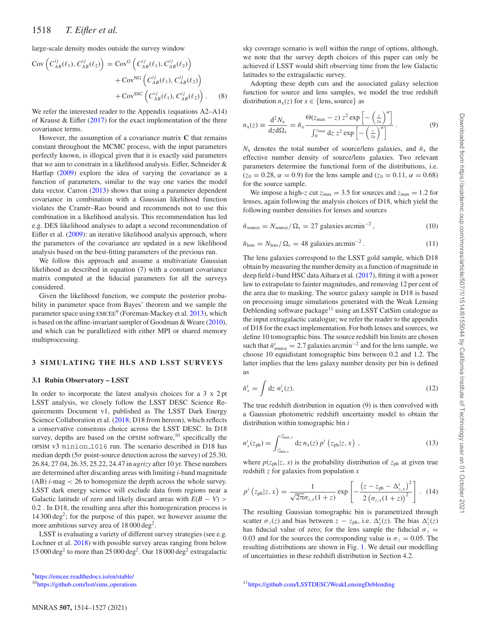1518 *T. Eifler et al.*

large-scale density modes outside the survey window

$$
Cov\left(C_{AB}^{ij}(\ell_1), C_{AB}^{ij}(\ell_2)\right) = Cov^G\left(C_{AB}^{ij}(\ell_1), C_{AB}^{ij}(\ell_2)\right) + Cov^{NG}\left(C_{AB}^{ij}(\ell_1), C_{AB}^{ij}(\ell_2)\right) + Cov^{ISC}\left(C_{AB}^{ij}(\ell_1), C_{AB}^{ij}(\ell_2)\right).
$$
 (8)

We refer the interested reader to the Appendix (equations A2–A14) of Krause  $\&$  Eifler [\(2017\)](#page-12-16) for the exact implementation of the three covariance terms.

However, the assumption of a covariance matrix **C** that remains constant throughout the MCMC process, with the input parameters perfectly known, is illogical given that it is exactly said parameters that we aim to constrain in a likelihood analysis. Eifler, Schneider & Hartlap [\(2009\)](#page-12-23) explore the idea of varying the covariance as a function of parameters, similar to the way one varies the model data vector. Carron [\(2013\)](#page-12-24) shows that using a parameter dependent covariance in combination with a Gaussian likelihood function violates the Cramer–Rao bound and recommends not to use this ´ combination in a likelihood analysis. This recommendation has led e.g. DES likelihood analyses to adapt a second recommendation of Eifler et al. [\(2009\)](#page-12-23): an iterative likelihood analysis approach, where the parameters of the covariance are updated in a new likelihood analysis based on the best-fitting parameters of the previous run.

We follow this approach and assume a multivariate Gaussian likelihood as described in equation (7) with a constant covariance matrix computed at the fiducial parameters for all the surveys considered.

Given the likelihood function, we compute the posterior probability in parameter space from Bayes' theorem and we sample the parameter space using EMCEE<sup>9</sup> (Foreman-Mackey et al. [2013\)](#page-12-25), which is based on the affine-invariant sampler of Goodman & Weare [\(2010\)](#page-12-26), and which can be parallelized with either MPI or shared memory multiprocessing.

## **3 SIMULATING THE HLS AND LSST SURVEYS**

#### **3.1 Rubin Observatory – LSST**

In order to incorporate the latest analysis choices for a 3 x 2 pt LSST analysis, we closely follow the LSST DESC Science Requirements Document v1, published as The LSST Dark Energy Science Collaboration et al. [\(2018;](#page-13-23) D18 from hereon), which reflects a conservative consensus choice across the LSST DESC. In D18 survey, depths are based on the OPSIM software,<sup>10</sup> specifically the OPSIM v3 minion 1016 run. The scenario described in D18 has median depth (5*σ* point-source detection across the survey) of 25.30, 26.84, 27.04, 26.35, 25.22, 24.47 in *ugrizy* after 10 yr. These numbers are determined after discarding areas with limiting *i*-band magnitude (AB) *i*-mag *<* 26 to homogenize the depth across the whole survey. LSST dark energy science will exclude data from regions near a Galactic latitude of zero and likely discard areas with  $E(B - V)$  > 0.2 . In D18, the resulting area after this homogenization process is  $14\,300\,\text{deg}^2$ ; for the purpose of this paper, we however assume the more ambitious survey area of 18 000 deg<sup>2</sup>.

LSST is evaluating a variety of different survey strategies (see e.g. Lochner et al. [2018\)](#page-13-28) with possible survey areas ranging from below  $15000 \text{ deg}^2$  to more than 25 000 deg<sup>2</sup>. Our 18 000 deg<sup>2</sup> extragalactic sky coverage scenario is well within the range of options, although, we note that the survey depth choices of this paper can only be achieved if LSST would shift observing time from the low Galactic latitudes to the extragalactic survey.

Adopting these depth cuts and the associated galaxy selection function for source and lens samples, we model the true redshift distribution  $n_x(z)$  for  $x \in \{\text{lens}, \text{source}\}\$  as

$$
n_{\rm x}(z) \equiv \frac{\mathrm{d}^2 N_{\rm x}}{\mathrm{d}z \mathrm{d}\Omega_{\rm s}} = \bar{n}_{\rm x} \frac{\Theta(z_{\rm max} - z) z^2 \exp\left[-\left(\frac{z}{z_0}\right)^{\alpha}\right]}{\int_0^{z_{\rm max}} \mathrm{d}z \ z^2 \exp\left[-\left(\frac{z}{z_0}\right)^{\alpha}\right]} \,. \tag{9}
$$

 $N_{\rm x}$  denotes the total number of source/lens galaxies, and  $\bar{n}_{\rm x}$  the effective number density of source/lens galaxies. Two relevant parameters determine the functional form of the distributions, i.e.  $(z_0 = 0.28, \alpha = 0.9)$  for the lens sample and  $(z_0 = 0.11, \alpha = 0.68)$ for the source sample.

We impose a high-*z* cut  $z_{\text{max}} = 3.5$  for sources and  $z_{\text{max}} = 1.2$  for lenses, again following the analysis choices of D18, which yield the following number densities for lenses and sources

$$
\bar{n}_{\text{source}} = N_{\text{source}} / \Omega_{\text{s}} = 27 \text{ galaxies arcmin}^{-2},\tag{10}
$$

$$
\bar{n}_{\text{lens}} = N_{\text{lens}} / \Omega_{\text{s}} = 48 \text{ galaxies arcmin}^{-2}.
$$
 (11)

The lens galaxies correspond to the LSST gold sample, which D18 obtain by measuring the number density as a function of magnitude in deep field *i*-band HSC data Aihara et al. [\(2017\)](#page-12-27), fitting it with a power law to extrapolate to fainter magnitudes, and removing 12 per cent of the area due to masking. The source galaxy sample in D18 is based on processing image simulations generated with the Weak Lensing Deblending software package<sup>11</sup> using an LSST CatSim catalogue as the input extragalactic catalogue; we refer the reader to the appendix of D18 for the exact implementation. For both lenses and sources, we define 10 tomographic bins. The source redshift bin limits are chosen such that  $\bar{n}^i_{\text{source}} = 2.7$  galaxies arcmin<sup>-2</sup> and for the lens sample, we choose 10 equidistant tomographic bins between 0.2 and 1.2. The latter implies that the lens galaxy number density per bin is defined as

$$
\bar{n}_x^i = \int \mathrm{d}z \; n_x^i(z). \tag{12}
$$

The true redshift distribution in equation (9) is then convolved with a Gaussian photometric redshift uncertainty model to obtain the distribution within tomographic bin *i*

$$
n_x^i(z_{\rm ph}) = \int_{z_{\rm min,x}^i}^{z_{\rm max,x}^i} dz \, n_x(z) \, p^i \left( z_{\rm ph} | z, x \right) \,, \tag{13}
$$

where  $p(z_{ph}|z, x)$  is the probability distribution of  $z_{ph}$  at given true redshift *z* for galaxies from population *x*

$$
p^{i}\left(z_{\text{ph}}|z,x\right) = \frac{1}{\sqrt{2\pi}\sigma_{z,x}(1+z)} \exp\left[-\frac{\left(z-z_{\text{ph}}-\Delta_{z,x}^{i}\right)^{2}}{2\left(\sigma_{z,x}(1+z)\right)^{2}}\right].
$$
 (14)

The resulting Gaussian tomographic bin is parametrized through scatter  $\sigma_z(z)$  and bias between  $z - z_{ph}$ , i.e.  $\Delta_z^i(z)$ . The bias  $\Delta_z^i(z)$ has fiducial value of zero; for the lens sample the fiducial  $\sigma_z$ 0.03 and for the sources the corresponding value is  $\sigma_z = 0.05$ . The resulting distributions are shown in Fig. [1.](#page-5-0) We detail our modelling of uncertainties in these redshift distribution in Section 4.2.

[<sup>9</sup>https://emcee.readthedocs.io/en/stable/](https://emcee.readthedocs.io/en/stable/)

<sup>1</sup>[0https://github.com/lsst/sims](https://github.com/lsst/sims_operations)\_operations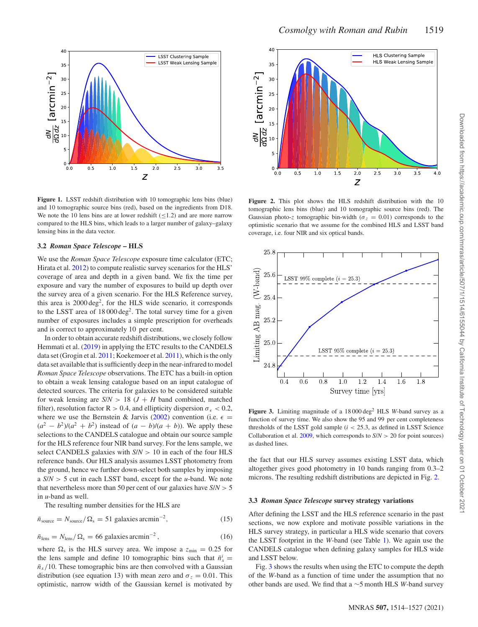<span id="page-5-0"></span>

**Figure 1.** LSST redshift distribution with 10 tomographic lens bins (blue) and 10 tomographic source bins (red), based on the ingredients from D18. We note the 10 lens bins are at lower redshift  $($  < 1.2) and are more narrow compared to the HLS bins, which leads to a larger number of galaxy–galaxy lensing bins in the data vector.

#### **3.2** *Roman Space Telescope* **– HLS**

We use the *Roman Space Telescope* exposure time calculator (ETC; Hirata et al. [2012\)](#page-12-28) to compute realistic survey scenarios for the HLS' coverage of area and depth in a given band. We fix the time per exposure and vary the number of exposures to build up depth over the survey area of a given scenario. For the HLS Reference survey, this area is  $2000 \text{ deg}^2$ , for the HLS wide scenario, it corresponds to the LSST area of 18 000 deg<sup>2</sup>. The total survey time for a given number of exposures includes a simple prescription for overheads and is correct to approximately 10 per cent.

In order to obtain accurate redshift distributions, we closely follow Hemmati et al. [\(2019\)](#page-12-29) in applying the ETC results to the CANDELS data set (Grogin et al. [2011;](#page-12-30) Koekemoer et al. [2011\)](#page-12-31), which is the only data set available that is sufficiently deep in the near-infrared to model *Roman Space Telescope* observations. The ETC has a built-in option to obtain a weak lensing catalogue based on an input catalogue of detected sources. The criteria for galaxies to be considered suitable for weak lensing are  $S/N > 18$  ( $J + H$  band combined, matched filter), resolution factor  $R > 0.4$ , and ellipticity dispersion  $\sigma_{\epsilon} < 0.2$ , where we use the Bernstein & Jarvis [\(2002\)](#page-12-32) convention (i.e.  $\epsilon =$  $(a^2 - b^2)/(a^2 + b^2)$  instead of  $(a - b)/(a + b)$ ). We apply these selections to the CANDELS catalogue and obtain our source sample for the HLS reference four NIR band survey. For the lens sample, we select CANDELS galaxies with *S*/*N >* 10 in each of the four HLS reference bands. Our HLS analysis assumes LSST photometry from the ground, hence we further down-select both samples by imposing a *S*/*N >* 5 cut in each LSST band, except for the *u*-band. We note that nevertheless more than 50 per cent of our galaxies have *S*/*N >* 5 in *u*-band as well.

The resulting number densities for the HLS are

$$
\bar{n}_{\text{source}} = N_{\text{source}} / \Omega_{\text{s}} = 51 \text{ galaxies arcmin}^{-2},\tag{15}
$$

$$
\bar{n}_{\text{lens}} = N_{\text{lens}} / \Omega_{\text{s}} = 66 \text{ galaxies arcmin}^{-2},\tag{16}
$$

where  $\Omega_s$  is the HLS survey area. We impose a  $z_{\text{min}} = 0.25$  for the lens sample and define 10 tomographic bins such that  $\bar{n}_x^i$  =  $\bar{n}_x/10$ . These tomographic bins are then convolved with a Gaussian distribution (see equation 13) with mean zero and  $\sigma_z = 0.01$ . This optimistic, narrow width of the Gaussian kernel is motivated by

<span id="page-5-1"></span>

**Figure 2.** This plot shows the HLS redshift distribution with the 10 tomographic lens bins (blue) and 10 tomographic source bins (red). The Gaussian photo-*z* tomographic bin-width ( $\sigma_z = 0.01$ ) corresponds to the optimistic scenario that we assume for the combined HLS and LSST band coverage, i.e. four NIR and six optical bands.

<span id="page-5-2"></span>

**Figure 3.** Limiting magnitude of a  $18000 \text{ deg}^2$  HLS *W*-band survey as a function of survey time. We also show the 95 and 99 per cent completeness thresholds of the LSST gold sample (*i <* 25.3, as defined in LSST Science Collaboration et al. [2009,](#page-13-29) which corresponds to *S*/*N >* 20 for point sources) as dashed lines.

the fact that our HLS survey assumes existing LSST data, which altogether gives good photometry in 10 bands ranging from 0.3–2 microns. The resulting redshift distributions are depicted in Fig. [2.](#page-5-1)

#### **3.3** *Roman Space Telescope* **survey strategy variations**

After defining the LSST and the HLS reference scenario in the past sections, we now explore and motivate possible variations in the HLS survey strategy, in particular a HLS wide scenario that covers the LSST footprint in the *W*-band (see Table [1\)](#page-1-0). We again use the CANDELS catalogue when defining galaxy samples for HLS wide and LSST below.

Fig. [3](#page-5-2) shows the results when using the ETC to compute the depth of the *W*-band as a function of time under the assumption that no other bands are used. We find that a ∼5 month HLS *W*-band survey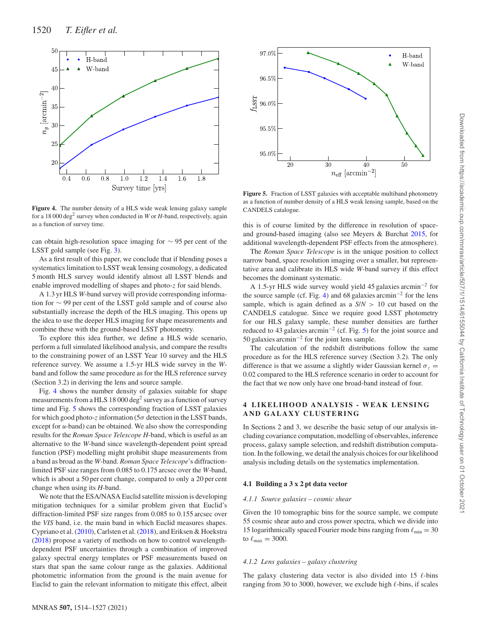<span id="page-6-0"></span>

**Figure 4.** The number density of a HLS wide weak lensing galaxy sample for a 18 000 deg<sup>2</sup> survey when conducted in *W* or *H*-band, respectively, again as a function of survey time.

can obtain high-resolution space imaging for ∼ 95 per cent of the LSST gold sample (see Fig. [3\)](#page-5-2).

As a first result of this paper, we conclude that if blending poses a systematics limitation to LSST weak lensing cosmology, a dedicated 5 month HLS survey would identify almost all LSST blends and enable improved modelling of shapes and photo-*z* for said blends.

A 1.3 yr HLS *W*-band survey will provide corresponding information for ∼ 99 per cent of the LSST gold sample and of course also substantially increase the depth of the HLS imaging. This opens up the idea to use the deeper HLS imaging for shape measurements and combine these with the ground-based LSST photometry.

To explore this idea further, we define a HLS wide scenario, perform a full simulated likelihood analysis, and compare the results to the constraining power of an LSST Year 10 survey and the HLS reference survey. We assume a 1.5-yr HLS wide survey in the *W*band and follow the same procedure as for the HLS reference survey (Section 3.2) in deriving the lens and source sample.

Fig. [4](#page-6-0) shows the number density of galaxies suitable for shape measurements from a HLS 18 000 deg<sup>2</sup> survey as a function of survey time and Fig. [5](#page-6-1) shows the corresponding fraction of LSST galaxies for which good photo-*z* information (5*σ* detection in the LSST bands, except for *u*-band) can be obtained. We also show the corresponding results for the *Roman Space Telescope H*-band, which is useful as an alternative to the *W*-band since wavelength-dependent point spread function (PSF) modelling might prohibit shape measurements from a band as broad as the *W*-band. *Roman Space Telescope*'s diffractionlimited PSF size ranges from 0.085 to 0.175 arcsec over the *W*-band, which is about a 50 per cent change, compared to only a 20 per cent change when using its *H*-band.

We note that the ESA/NASA Euclid satellite mission is developing mitigation techniques for a similar problem given that Euclid's diffraction-limited PSF size ranges from 0.085 to 0.155 arcsec over the *VIS* band, i.e. the main band in which Euclid measures shapes. Cypriano et al. [\(2010\)](#page-12-33), Carlsten et al. [\(2018\)](#page-12-34), and Eriksen & Hoekstra [\(2018\)](#page-12-35) propose a variety of methods on how to control wavelengthdependent PSF uncertainties through a combination of improved galaxy spectral energy templates or PSF measurements based on stars that span the same colour range as the galaxies. Additional photometric information from the ground is the main avenue for Euclid to gain the relevant information to mitigate this effect, albeit

<span id="page-6-1"></span>

**Figure 5.** Fraction of LSST galaxies with acceptable multiband photometry as a function of number density of a HLS weak lensing sample, based on the CANDELS catalogue.

this is of course limited by the difference in resolution of spaceand ground-based imaging (also see Meyers & Burchat [2015,](#page-13-30) for additional wavelength-dependent PSF effects from the atmosphere).

The *Roman Space Telescope* is in the unique position to collect narrow band, space resolution imaging over a smaller, but representative area and calibrate its HLS wide *W*-band survey if this effect becomes the dominant systematic.

A 1.5-yr HLS wide survey would yield 45 galaxies arcmin−<sup>2</sup> for the source sample (cf. Fig. [4\)](#page-6-0) and 68 galaxies arcmin−<sup>2</sup> for the lens sample, which is again defined as a *S*/*N >* 10 cut based on the CANDELS catalogue. Since we require good LSST photometry for our HLS galaxy sample, these number densities are further reduced to 43 galaxies arcmin<sup>-2</sup> (cf. Fig. [5\)](#page-6-1) for the joint source and 50 galaxies arcmin−<sup>2</sup> for the joint lens sample.

The calculation of the redshift distributions follow the same procedure as for the HLS reference survey (Section 3.2). The only difference is that we assume a slightly wider Gaussian kernel  $\sigma_z$ 0.02 compared to the HLS reference scenario in order to account for the fact that we now only have one broad-band instead of four.

## **4 LIKELIHOOD ANALYSIS - WEAK LENSING AND GALAXY CLUSTERING**

In Sections 2 and 3, we describe the basic setup of our analysis including covariance computation, modelling of observables, inference process, galaxy sample selection, and redshift distribution computation. In the following, we detail the analysis choices for our likelihood analysis including details on the systematics implementation.

#### **4.1 Building a 3 x 2 pt data vector**

#### *4.1.1 Source galaxies – cosmic shear*

Given the 10 tomographic bins for the source sample, we compute 55 cosmic shear auto and cross power spectra, which we divide into 15 logarithmically spaced Fourier mode bins ranging from  $\ell_{\min} = 30$ to  $\ell_{\text{max}} = 3000$ .

#### *4.1.2 Lens galaxies – galaxy clustering*

The galaxy clustering data vector is also divided into 15  $\ell$ -bins ranging from 30 to 3000, however, we exclude high  $\ell$ -bins, if scales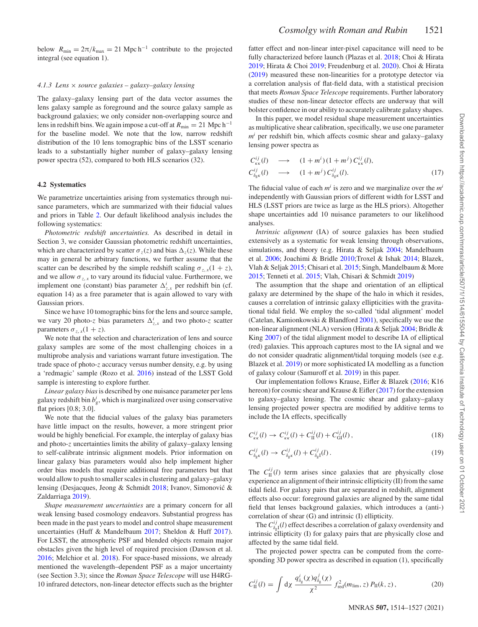below  $R_{\text{min}} = 2\pi/k_{\text{max}} = 21 \text{ Mpc} \text{h}^{-1}$  contribute to the projected integral (see equation 1).

#### *4.1.3 Lens* × *source galaxies – galaxy–galaxy lensing*

The galaxy–galaxy lensing part of the data vector assumes the lens galaxy sample as foreground and the source galaxy sample as background galaxies; we only consider non-overlapping source and lens in redshift bins. We again impose a cut-off at  $R_{\text{min}} = 21 \text{ Mpc h}^{-1}$ for the baseline model. We note that the low, narrow redshift distribution of the 10 lens tomographic bins of the LSST scenario leads to a substantially higher number of galaxy–galaxy lensing power spectra (52), compared to both HLS scenarios (32).

#### **4.2 Systematics**

We parametrize uncertainties arising from systematics through nuisance parameters, which are summarized with their fiducial values and priors in Table [2.](#page-3-0) Our default likelihood analysis includes the following systematics:

*Photometric redshift uncertainties.* As described in detail in Section 3, we consider Gaussian photometric redshift uncertainties, which are characterized by scatter  $\sigma_z(z)$  and bias  $\Delta_z(z)$ . While these may in general be arbitrary functions, we further assume that the scatter can be described by the simple redshift scaling  $\sigma_{z,x}(1 + z)$ , and we allow  $\sigma_{z,x}$  to vary around its fiducial value. Furthermore, we implement one (constant) bias parameter  $\Delta_{z,x}^{i}$  per redshift bin (cf. equation 14) as a free parameter that is again allowed to vary with Gaussian priors.

Since we have 10 tomographic bins for the lens and source sample, we vary 20 photo-*z* bias parameters  $\Delta_{z,x}^{i}$  and two photo-*z* scatter parameters  $\sigma_{z,x}(1+z)$ .

We note that the selection and characterization of lens and source galaxy samples are some of the most challenging choices in a multiprobe analysis and variations warrant future investigation. The trade space of photo-*z* accuracy versus number density, e.g. by using a 'redmagic' sample (Rozo et al. [2016\)](#page-13-31) instead of the LSST Gold sample is interesting to explore further.

*Linear galaxy bias*is described by one nuisance parameter per lens galaxy redshift bin  $b^i_{\rm g}$ , which is marginalized over using conservative flat priors [0.8; 3.0].

We note that the fiducial values of the galaxy bias parameters have little impact on the results, however, a more stringent prior would be highly beneficial. For example, the interplay of galaxy bias and photo-*z* uncertainties limits the ability of galaxy–galaxy lensing to self-calibrate intrinsic alignment models. Prior information on linear galaxy bias parameters would also help implement higher order bias models that require additional free parameters but that would allow to push to smaller scales in clustering and galaxy–galaxy lensing (Desjacques, Jeong & Schmidt [2018;](#page-12-36) Ivanov, Simonovic &´ Zaldarriaga [2019\)](#page-12-37).

*Shape measurement uncertainties* are a primary concern for all weak lensing based cosmology endeavors. Substantial progress has been made in the past years to model and control shape measurement uncertainties (Huff & Mandelbaum [2017;](#page-12-38) Sheldon & Huff [2017\)](#page-13-32). For LSST, the atmospheric PSF and blended objects remain major obstacles given the high level of required precision (Dawson et al. [2016;](#page-12-39) Melchior et al. [2018\)](#page-13-33). For space-based missions, we already mentioned the wavelength–dependent PSF as a major uncertainty (see Section 3.3); since the *Roman Space Telescope* will use H4RG-10 infrared detectors, non-linear detector effects such as the brighter

fatter effect and non-linear inter-pixel capacitance will need to be fully characterized before launch (Plazas et al. [2018;](#page-13-34) Choi & Hirata [2019;](#page-12-40) Hirata & Choi [2019;](#page-12-41) Freudenburg et al. [2020\)](#page-12-42). Choi & Hirata [\(2019\)](#page-12-40) measured these non-linearities for a prototype detector via a correlation analysis of flat-field data, with a statistical precision that meets *Roman Space Telescope* requirements. Further laboratory studies of these non-linear detector effects are underway that will bolster confidence in our ability to accurately calibrate galaxy shapes.

In this paper, we model residual shape measurement uncertainties as multiplicative shear calibration, specifically, we use one parameter  $m<sup>i</sup>$  per redshift bin, which affects cosmic shear and galaxy–galaxy lensing power spectra as

$$
C_{\kappa\kappa}^{ij}(l) \longrightarrow (1+m^i)(1+m^j) C_{\kappa\kappa}^{ij}(l),
$$
  
\n
$$
C_{\delta_{\xi} \kappa}^{ij}(l) \longrightarrow (1+m^j) C_{\delta_{\xi} \kappa}^{ij}(l).
$$
\n(17)

The fiducial value of each  $m^i$  is zero and we marginalize over the  $m^i$ independently with Gaussian priors of different width for LSST and HLS (LSST priors are twice as large as the HLS priors). Altogether shape uncertainties add 10 nuisance parameters to our likelihood analyses.

*Intrinsic alignment* (IA) of source galaxies has been studied extensively as a systematic for weak lensing through observations, simulations, and theory (e.g. Hirata & Seljak [2004;](#page-12-43) Mandelbaum et al. [2006;](#page-13-35) Joachimi & Bridle [2010;](#page-12-44)Troxel & Ishak [2014;](#page-13-36) Blazek, Vlah & Seljak [2015;](#page-12-45) Chisari et al. [2015;](#page-12-46) Singh, Mandelbaum & More [2015;](#page-13-37) Tenneti et al. [2015;](#page-13-38) Vlah, Chisari & Schmidt [2019\)](#page-13-39)

The assumption that the shape and orientation of an elliptical galaxy are determined by the shape of the halo in which it resides, causes a correlation of intrinsic galaxy ellipticities with the gravitational tidal field. We employ the so-called 'tidal alignment' model (Catelan, Kamionkowski & Blandford [2001\)](#page-12-47), specifically we use the non-linear alignment (NLA) version (Hirata & Seljak [2004;](#page-12-43) Bridle & King [2007\)](#page-12-48) of the tidal alignment model to describe IA of elliptical (red) galaxies. This approach captures most to the IA signal and we do not consider quadratic alignment/tidal torquing models (see e.g. Blazek et al. [2019\)](#page-12-49) or more sophisticated IA modelling as a function of galaxy colour (Samuroff et al. [2019\)](#page-13-40) in this paper.

Our implementation follows Krause, Eifler & Blazek [\(2016;](#page-12-50) K16 hereon) for cosmic shear and Krause & Eifler [\(2017\)](#page-12-16) for the extension to galaxy–galaxy lensing. The cosmic shear and galaxy–galaxy lensing projected power spectra are modified by additive terms to include the IA effects, specifically

$$
C_{\kappa\kappa}^{ij}(l) \to C_{\kappa\kappa}^{ij}(l) + C_{\text{II}}^{ij}(l) + C_{\text{GI}}^{ij}(l) \,,\tag{18}
$$

$$
C_{\delta_{\mathbf{g}}\kappa}^{ij}(l) \to C_{\delta_{\mathbf{g}}\kappa}^{ij}(l) + C_{\delta_{\mathbf{g}}l}^{ij}(l). \tag{19}
$$

The  $C_{\text{II}}^{ij}(l)$  term arises since galaxies that are physically close experience an alignment of their intrinsic ellipticity (II) from the same tidal field. For galaxy pairs that are separated in redshift, alignment effects also occur: foreground galaxies are aligned by the same tidal field that lenses background galaxies, which introduces a (anti-) correlation of shear (G) and intrinsic (I) ellipticity.

The  $C_{\delta_{\rm g}I}^{ij}(l)$  effect describes a correlation of galaxy overdensity and intrinsic ellipticity (I) for galaxy pairs that are physically close and affected by the same tidal field.

The projected power spectra can be computed from the corresponding 3D power spectra as described in equation (1), specifically

$$
C_{\rm II}^{ij}(l) = \int \mathrm{d}\chi \, \frac{q_{\delta_{\rm g}}^i(\chi) q_{\delta_{\rm g}}^j(\chi)}{\chi^2} \, f_{\rm red}^2(m_{\rm lim}, z) \, P_{\rm II}(k, z) \,, \tag{20}
$$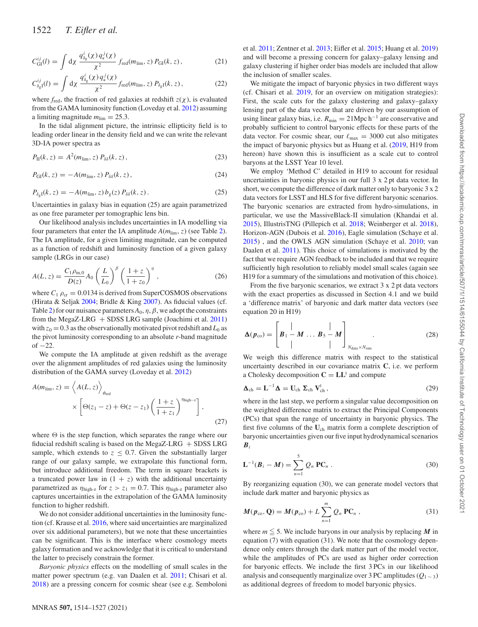$$
C_{GI}^{ij}(l) = \int d\chi \; \frac{q_{\delta_{\rm g}}^i(\chi) \, q_{\kappa}^j(\chi)}{\chi^2} \, f_{\rm red}(m_{\rm lim}, z) \, P_{GI}(k, z) \,, \tag{21}
$$

$$
C_{\delta_{\rm g}I}^{ij}(l) = \int \mathrm{d}\chi \; \frac{q_{\delta_{\rm g}}^i(\chi) \, q_{\kappa}^j(\chi)}{\chi^2} f_{\rm red}(m_{\rm lim}, z) \, P_{\delta_{\rm g}I}(k, z) \,, \tag{22}
$$

where  $f_{\text{red}}$ , the fraction of red galaxies at redshift  $z(\chi)$ , is evaluated from the GAMA luminosity function (Loveday et al. [2012\)](#page-13-41) assuming a limiting magnitude  $m_{\text{lim}} = 25.3$ .

In the tidal alignment picture, the intrinsic ellipticity field is to leading order linear in the density field and we can write the relevant 3D-IA power spectra as

$$
P_{\rm II}(k,z) = A^2(m_{\rm lim},z) P_{\delta\delta}(k,z), \qquad (23)
$$

$$
P_{GI}(k, z) = -A(m_{\lim}, z) P_{\delta\delta}(k, z), \qquad (24)
$$

$$
P_{\delta_{g}I}(k, z) = -A(m_{\lim}, z) b_{g}(z) P_{\delta\delta}(k, z). \qquad (25)
$$

Uncertainties in galaxy bias in equation (25) are again parametrized as one free parameter per tomographic lens bin.

Our likelihood analysis includes uncertainties in IA modelling via four parameters that enter the IA amplitude  $A(m_{\text{lim}}, z)$  (see Table [2\)](#page-3-0). The IA amplitude, for a given limiting magnitude, can be computed as a function of redshift and luminosity function of a given galaxy sample (LRGs in our case)

$$
A(L, z) = \frac{C_1 \rho_{m,0}}{D(z)} A_0 \left(\frac{L}{L_0}\right)^{\beta} \left(\frac{1+z}{1+z_0}\right)^{\eta}, \qquad (26)
$$

where  $C_1 \rho_{cr} = 0.0134$  is derived from SuperCOSMOS observations (Hirata & Seljak [2004;](#page-12-43) Bridle & King [2007\)](#page-12-48). As fiducial values (cf. Table [2\)](#page-3-0) for our nuisance parameters  $A_0$ ,  $\eta$ ,  $\beta$ , we adopt the constraints from the MegaZ-LRG  $+$  SDSS LRG sample (Joachimi et al. [2011\)](#page-12-51) with  $z_0 = 0.3$  as the observationally motivated pivot redshift and  $L_0$  as the pivot luminosity corresponding to an absolute *r*-band magnitude of  $-22$ .

We compute the IA amplitude at given redshift as the average over the alignment amplitudes of red galaxies using the luminosity distribution of the GAMA survey (Loveday et al. [2012\)](#page-13-41)

$$
A(m_{\text{lim}}, z) = \left\langle A(L, z) \right\rangle_{\phi_{\text{red}}} \times \left[ \Theta(z_1 - z) + \Theta(z - z_1) \left( \frac{1 + z}{1 + z_1} \right)^{\eta_{\text{high-}z}} \right],
$$
\n(27)

where  $\Theta$  is the step function, which separates the range where our fiducial redshift scaling is based on the MegaZ-LRG  $+$  SDSS LRG sample, which extends to  $z \leq 0.7$ . Given the substantially larger range of our galaxy sample, we extrapolate this functional form, but introduce additional freedom. The term in square brackets is a truncated power law in  $(1 + z)$  with the additional uncertainty parametrized as  $\eta_{\text{high-z}}$  for  $z > z_1 = 0.7$ . This  $\eta_{\text{high-z}}$  parameter also captures uncertainties in the extrapolation of the GAMA luminosity function to higher redshift.

We do not consider additional uncertainties in the luminosity function (cf. Krause et al. [2016,](#page-12-50) where said uncertainties are marginalized over six additional parameters), but we note that these uncertainties can be significant. This is the interface where cosmology meets galaxy formation and we acknowledge that it is critical to understand the latter to precisely constrain the former.

*Baryonic physics* effects on the modelling of small scales in the matter power spectrum (e.g. van Daalen et al. [2011;](#page-13-42) Chisari et al. [2018\)](#page-12-52) are a pressing concern for cosmic shear (see e.g. Semboloni et al. [2011;](#page-13-43) Zentner et al. [2013;](#page-13-44) Eifler et al. [2015;](#page-12-53) Huang et al. [2019\)](#page-12-54) and will become a pressing concern for galaxy–galaxy lensing and galaxy clustering if higher order bias models are included that allow the inclusion of smaller scales.

We mitigate the impact of baryonic physics in two different ways (cf. Chisari et al. [2019,](#page-12-55) for an overview on mitigation strategies): First, the scale cuts for the galaxy clustering and galaxy–galaxy lensing part of the data vector that are driven by our assumption of using linear galaxy bias, i.e.  $R_{\text{min}} = 21 \text{Mpc} \, \text{h}^{-1}$  are conservative and probably sufficient to control baryonic effects for these parts of the data vector. For cosmic shear, our  $\ell_{\text{max}} = 3000$  cut also mitigates the impact of baryonic physics but as Huang et al. [\(2019,](#page-12-54) H19 from hereon) have shown this is insufficient as a scale cut to control baryons at the LSST Year 10 level.

We employ 'Method C' detailed in H19 to account for residual uncertainties in baryonic physics in our full 3 x 2 pt data vector. In short, we compute the difference of dark matter only to baryonic 3 x 2 data vectors for LSST and HLS for five different baryonic scenarios. The baryonic scenarios are extracted from hydro-simulations, in particular, we use the MassiveBlack-II simulation (Khandai et al. [2015\)](#page-12-56), IllustrisTNG (Pillepich et al. [2018;](#page-13-45) Weinberger et al. [2018\)](#page-13-46), Horizon-AGN (Dubois et al. [2016\)](#page-12-57), Eagle simulation (Schaye et al. [2015\)](#page-13-47) , and the OWLS AGN simulation (Schaye et al. [2010;](#page-13-48) van Daalen et al. [2011\)](#page-13-42). This choice of simulations is motivated by the fact that we require AGN feedback to be included and that we require sufficiently high resolution to reliably model small scales (again see H19 for a summary of the simulations and motivation of this choice).

From the five baryonic scenarios, we extract 3 x 2 pt data vectors with the exact properties as discussed in Section 4.1 and we build a 'difference matrix' of baryonic and dark matter data vectors (see equation 20 in H19)

$$
\Delta(p_{\text{co}}) = \begin{bmatrix} | & | & | \\ B_1 - M & \dots & B_5 - M \\ | & | & | \end{bmatrix}_{N_{\text{data}} \times N_{\text{sim}}} . \tag{28}
$$

We weigh this difference matrix with respect to the statistical uncertainty described in our covariance matrix **C**, i.e. we perform a Cholesky decomposition  $C = LL^t$  and compute

$$
\Delta_{ch} = L^{-1} \Delta = U_{ch} \Sigma_{ch} V_{ch}^{t}, \qquad (29)
$$

where in the last step, we perform a singular value decomposition on the weighted difference matrix to extract the Principal Components (PCs) that span the range of uncertainty in baryonic physics. The first five columns of the **U**ch matrix form a complete description of baryonic uncertainties given our five input hydrodynamical scenarios *Bi*

$$
\mathbf{L}^{-1}(\boldsymbol{B}_i - \boldsymbol{M}) = \sum_{n=1}^{5} Q_n \mathbf{PC}_n .
$$
 (30)

By reorganizing equation (30), we can generate model vectors that include dark matter and baryonic physics as

$$
M(p_{\text{co}}, \mathbf{Q}) = M(p_{\text{co}}) + L \sum_{n=1}^{m} Q_n \mathbf{PC}_n , \qquad (31)
$$

where  $m \leq 5$ . We include baryons in our analysis by replacing M in equation (7) with equation (31). We note that the cosmology dependence only enters through the dark matter part of the model vector, while the amplitudes of PCs are used as higher order correction for baryonic effects. We include the first 3 PCs in our likelihood analysis and consequently marginalize over 3 PC amplitudes  $(Q_{1 \sim 3})$ as additional degrees of freedom to model baryonic physics.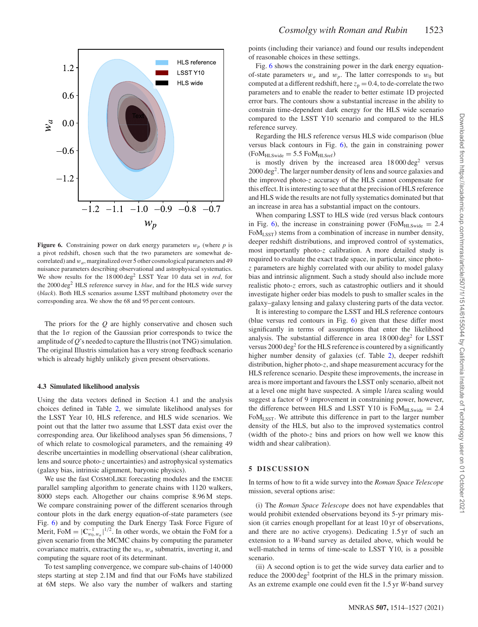<span id="page-9-0"></span>

**Figure 6.** Constraining power on dark energy parameters  $w_p$  (where  $p$  is a pivot redshift, chosen such that the two parameters are somewhat decorrelated) and *wa*, marginalized over 5 other cosmological parameters and 49 nuisance parameters describing observational and astrophysical systematics. We show results for the 18 000 deg<sup>2</sup> LSST Year 10 data set in *red*, for the 2000 deg<sup>2</sup> HLS reference survey in *blue*, and for the HLS wide survey (*black*). Both HLS scenarios assume LSST multiband photometry over the corresponding area. We show the 68 and 95 per cent contours.

The priors for the *Q* are highly conservative and chosen such that the 1*σ* region of the Gaussian prior corresponds to twice the amplitude of *Q*'s needed to capture the Illustris (not TNG) simulation. The original Illustris simulation has a very strong feedback scenario which is already highly unlikely given present observations.

#### **4.3 Simulated likelihood analysis**

Using the data vectors defined in Section 4.1 and the analysis choices defined in Table [2,](#page-3-0) we simulate likelihood analyses for the LSST Year 10, HLS reference, and HLS wide scenarios. We point out that the latter two assume that LSST data exist over the corresponding area. Our likelihood analyses span 56 dimensions, 7 of which relate to cosmological parameters, and the remaining 49 describe uncertainties in modelling observational (shear calibration, lens and source photo-*z* uncertainties) and astrophysical systematics (galaxy bias, intrinsic alignment, baryonic physics).

We use the fast COSMOLIKE forecasting modules and the EMCEE parallel sampling algorithm to generate chains with 1120 walkers, 8000 steps each. Altogether our chains comprise 8.96 M steps. We compare constraining power of the different scenarios through contour plots in the dark energy equation-of-state parameters (see Fig. [6\)](#page-9-0) and by computing the Dark Energy Task Force Figure of Merit, FoM =  $|\mathbf{C}_{w_0,w_a}^{-1}|^{1/2}$ . In other words, we obtain the FoM for a given scenario from the MCMC chains by computing the parameter covariance matrix, extracting the  $w_0$ ,  $w_a$  submatrix, inverting it, and computing the square root of its determinant.

To test sampling convergence, we compare sub-chains of 140 000 steps starting at step 2.1M and find that our FoMs have stabilized at 6M steps. We also vary the number of walkers and starting

points (including their variance) and found our results independent of reasonable choices in these settings.

Fig. [6](#page-9-0) shows the constraining power in the dark energy equationof-state parameters  $w_a$  and  $w_p$ . The latter corresponds to  $w_0$  but computed at a different redshift, here  $z_p = 0.4$ , to de-correlate the two parameters and to enable the reader to better estimate 1D projected error bars. The contours show a substantial increase in the ability to constrain time-dependent dark energy for the HLS wide scenario compared to the LSST Y10 scenario and compared to the HLS reference survey.

Regarding the HLS reference versus HLS wide comparison (blue versus black contours in Fig. [6\)](#page-9-0), the gain in constraining power  $(FoM<sub>HLSwide</sub> = 5.5 FoM<sub>HLSref</sub>)$ 

is mostly driven by the increased area  $18\,000\,\text{deg}^2$  versus 2000 deg2. The larger number density of lens and source galaxies and the improved photo-*z* accuracy of the HLS cannot compensate for this effect. It is interesting to see that at the precision of HLS reference and HLS wide the results are not fully systematics dominated but that an increase in area has a substantial impact on the contours.

When comparing LSST to HLS wide (red versus black contours in Fig. [6\)](#page-9-0), the increase in constraining power (Fo $M_{HLSwide} = 2.4$ FoMLSST) stems from a combination of increase in number density, deeper redshift distributions, and improved control of systematics, most importantly photo-*z* calibration. A more detailed study is required to evaluate the exact trade space, in particular, since photo*z* parameters are highly correlated with our ability to model galaxy bias and intrinsic alignment. Such a study should also include more realistic photo-*z* errors, such as catastrophic outliers and it should investigate higher order bias models to push to smaller scales in the galaxy–galaxy lensing and galaxy clustering parts of the data vector.

It is interesting to compare the LSST and HLS reference contours (blue versus red contours in Fig. [6\)](#page-9-0) given that these differ most significantly in terms of assumptions that enter the likelihood analysis. The substantial difference in area  $18\,000\,\text{deg}^2$  for LSST versus  $2000 \text{ deg}^2$  for the HLS reference is countered by a significantly higher number density of galaxies (cf. Table [2\)](#page-3-0), deeper redshift distribution, higher photo-*z*, and shape measurement accuracy for the HLS reference scenario. Despite these improvements, the increase in area is more important and favours the LSST only scenario, albeit not at a level one might have suspected. A simple 1/area scaling would suggest a factor of 9 improvement in constraining power, however, the difference between HLS and LSST Y10 is  $FoM<sub>HLSwide</sub> = 2.4$ FoMLSST. We attribute this difference in part to the larger number density of the HLS, but also to the improved systematics control (width of the photo-*z* bins and priors on how well we know this width and shear calibration).

#### **5 DISCUSSION**

In terms of how to fit a wide survey into the *Roman Space Telescope* mission, several options arise:

(i) The *Roman Space Telescope* does not have expendables that would prohibit extended observations beyond its 5-yr primary mission (it carries enough propellant for at least 10 yr of observations, and there are no active cryogens). Dedicating 1.5 yr of such an extension to a *W*-band survey as detailed above, which would be well-matched in terms of time-scale to LSST Y10, is a possible scenario.

(ii) A second option is to get the wide survey data earlier and to reduce the 2000 deg<sup>2</sup> footprint of the HLS in the primary mission. As an extreme example one could even fit the 1.5 yr *W*-band survey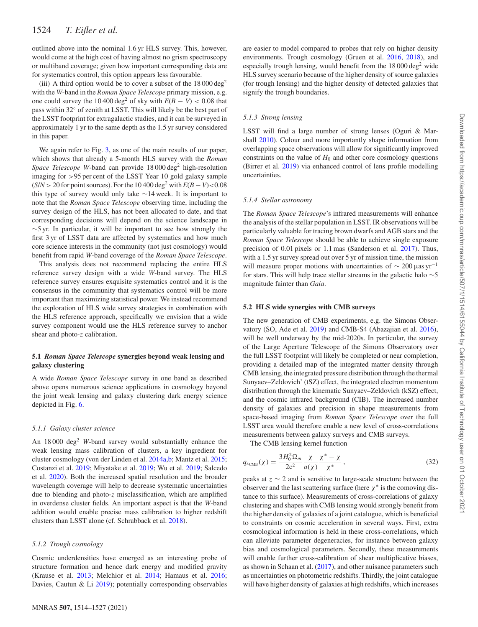outlined above into the nominal 1.6 yr HLS survey. This, however, would come at the high cost of having almost no grism spectroscopy or multiband coverage; given how important corresponding data are for systematics control, this option appears less favourable.

(iii) A third option would be to cover a subset of the  $18\,000\,\text{deg}^2$ with the *W*-band in the *Roman Space Telescope* primary mission, e.g. one could survey the 10 400 deg<sup>2</sup> of sky with  $E(B - V) < 0.08$  that pass within 32◦ of zenith at LSST. This will likely be the best part of the LSST footprint for extragalactic studies, and it can be surveyed in approximately 1 yr to the same depth as the 1.5 yr survey considered in this paper.

We again refer to Fig. [3,](#page-5-2) as one of the main results of our paper, which shows that already a 5-month HLS survey with the *Roman Space Telescope W*-band can provide 18 000 deg<sup>2</sup> high-resolution imaging for *>*95 per cent of the LSST Year 10 gold galaxy sample  $(S/N > 20$  for point sources). For the 10 400 deg<sup>2</sup> with  $E(B - V) < 0.08$ this type of survey would only take ∼14 week. It is important to note that the *Roman Space Telescope* observing time, including the survey design of the HLS, has not been allocated to date, and that corresponding decisions will depend on the science landscape in ∼5 yr. In particular, it will be important to see how strongly the first 3 yr of LSST data are affected by systematics and how much core science interests in the community (not just cosmology) would benefit from rapid *W*-band coverage of the *Roman Space Telescope*.

This analysis does not recommend replacing the entire HLS reference survey design with a wide *W*-band survey. The HLS reference survey ensures exquisite systematics control and it is the consensus in the community that systematics control will be more important than maximizing statistical power. We instead recommend the exploration of HLS wide survey strategies in combination with the HLS reference approach, specifically we envision that a wide survey component would use the HLS reference survey to anchor shear and photo-*z* calibration.

## **5.1** *Roman Space Telescope* **synergies beyond weak lensing and galaxy clustering**

A wide *Roman Space Telescope* survey in one band as described above opens numerous science applications in cosmology beyond the joint weak lensing and galaxy clustering dark energy science depicted in Fig. [6.](#page-9-0)

#### *5.1.1 Galaxy cluster science*

An 18 000 deg<sup>2</sup> W-band survey would substantially enhance the weak lensing mass calibration of clusters, a key ingredient for cluster cosmology (von der Linden et al. [2014a](#page-13-49)[,b;](#page-13-50) Mantz et al. [2015;](#page-13-51) Costanzi et al. [2019;](#page-12-58) Miyatake et al. [2019;](#page-13-52) Wu et al. [2019;](#page-13-53) Salcedo et al. [2020\)](#page-13-54). Both the increased spatial resolution and the broader wavelength coverage will help to decrease systematic uncertainties due to blending and photo-*z* misclassification, which are amplified in overdense cluster fields. An important aspect is that the *W*-band addition would enable precise mass calibration to higher redshift clusters than LSST alone (cf. Schrabback et al. [2018\)](#page-13-55).

#### *5.1.2 Trough cosmology*

Cosmic underdensities have emerged as an interesting probe of structure formation and hence dark energy and modified gravity (Krause et al. [2013;](#page-12-59) Melchior et al. [2014;](#page-13-56) Hamaus et al. [2016;](#page-12-60) Davies, Cautun & Li [2019\)](#page-12-61); potentially corresponding observables

are easier to model compared to probes that rely on higher density environments. Trough cosmology (Gruen et al. [2016,](#page-12-62) [2018\)](#page-12-63), and especially trough lensing, would benefit from the 18 000 deg<sup>2</sup> wide HLS survey scenario because of the higher density of source galaxies (for trough lensing) and the higher density of detected galaxies that signify the trough boundaries.

#### *5.1.3 Strong lensing*

LSST will find a large number of strong lenses (Oguri & Marshall [2010\)](#page-13-57). Colour and more importantly shape information from overlapping space observations will allow for significantly improved constraints on the value of  $H_0$  and other core cosmology questions (Birrer et al. [2019\)](#page-12-64) via enhanced control of lens profile modelling uncertainties.

#### *5.1.4 Stellar astronomy*

The *Roman Space Telescope*'s infrared measurements will enhance the analysis of the stellar population in LSST. IR observations will be particularly valuable for tracing brown dwarfs and AGB stars and the *Roman Space Telescope* should be able to achieve single exposure precision of 0.01 pixels or 1.1 mas (Sanderson et al. [2017\)](#page-13-58). Thus, with a 1.5 yr survey spread out over 5 yr of mission time, the mission will measure proper motions with uncertainties of  $\sim 200 \,\mu$ as yr<sup>-1</sup> for stars. This will help trace stellar streams in the galactic halo ∼5 magnitude fainter than *Gaia*.

#### **5.2 HLS wide synergies with CMB surveys**

The new generation of CMB experiments, e.g. the Simons Observatory (SO, Ade et al. [2019\)](#page-12-12) and CMB-S4 (Abazajian et al. [2016\)](#page-12-13), will be well underway by the mid-2020s. In particular, the survey of the Large Aperture Telescope of the Simons Observatory over the full LSST footprint will likely be completed or near completion, providing a detailed map of the integrated matter density through CMB lensing, the integrated pressure distribution through the thermal Sunyaev–Zeldovich' (tSZ) effect, the integrated electron momentum distribution through the kinematic Sunyaev–Zeldovich (kSZ) effect, and the cosmic infrared background (CIB). The increased number density of galaxies and precision in shape measurements from space-based imaging from *Roman Space Telescope* over the full LSST area would therefore enable a new level of cross-correlations measurements between galaxy surveys and CMB surveys.

The CMB lensing kernel function

$$
q_{\kappa_{\rm CMB}}(\chi) = \frac{3H_0^2 \Omega_m}{2c^2} \frac{\chi}{a(\chi)} \frac{\chi^* - \chi}{\chi^*},\tag{32}
$$

peaks at *z* ∼ 2 and is sensitive to large-scale structure between the observer and the last scattering surface (here  $\chi^*$  is the comoving distance to this surface). Measurements of cross-correlations of galaxy clustering and shapes with CMB lensing would strongly benefit from the higher density of galaxies of a joint catalogue, which is beneficial to constraints on cosmic acceleration in several ways. First, extra cosmological information is held in these cross-correlations, which can alleviate parameter degeneracies, for instance between galaxy bias and cosmological parameters. Secondly, these measurements will enable further cross-calibration of shear multiplicative biases, as shown in Schaan et al. [\(2017\)](#page-13-59), and other nuisance parameters such as uncertainties on photometric redshifts. Thirdly, the joint catalogue will have higher density of galaxies at high redshifts, which increases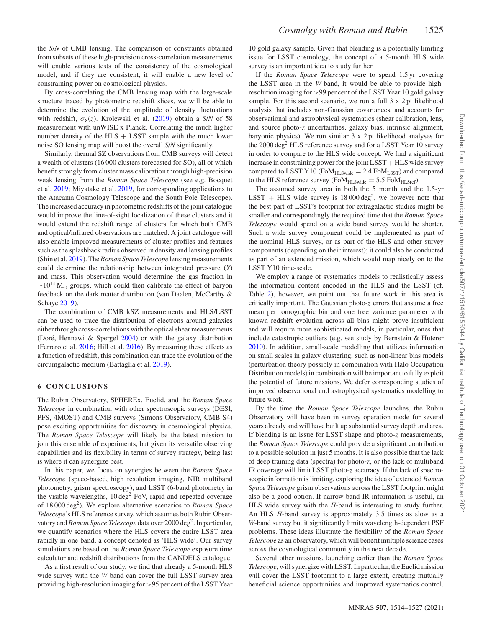the *S*/*N* of CMB lensing. The comparison of constraints obtained from subsets of these high-precision cross-correlation measurements will enable various tests of the consistency of the cosmological model, and if they are consistent, it will enable a new level of constraining power on cosmological physics.

By cross-correlating the CMB lensing map with the large-scale structure traced by photometric redshift slices, we will be able to determine the evolution of the amplitude of density fluctuations with redshift,  $\sigma_8(z)$ . Krolewski et al. [\(2019\)](#page-12-65) obtain a *S/N* of 58 measurement with unWISE x Planck. Correlating the much higher number density of the  $HLS + LSST$  sample with the much lower noise SO lensing map will boost the overall *S*/*N* significantly.

Similarly, thermal SZ observations from CMB surveys will detect a wealth of clusters (16 000 clusters forecasted for SO), all of which benefit strongly from cluster mass calibration through high-precision weak lensing from the *Roman Space Telescope* (see e.g. Bocquet et al. [2019;](#page-12-66) Miyatake et al. [2019,](#page-13-52) for corresponding applications to the Atacama Cosmology Telescope and the South Pole Telescope). The increased accuracy in photometric redshifts of the joint catalogue would improve the line-of-sight localization of these clusters and it would extend the redshift range of clusters for which both CMB and optical/infrared observations are matched. A joint catalogue will also enable improved measurements of cluster profiles and features such as the splashback radius observed in density and lensing profiles (Shin et al. [2019\)](#page-13-60). The*Roman Space Telescope* lensing measurements could determine the relationship between integrated pressure (*Y*) and mass. This observation would determine the gas fraction in  $\sim$ 10<sup>14</sup> M<sub>☉</sub> groups, which could then calibrate the effect of baryon feedback on the dark matter distribution (van Daalen, McCarthy & Schaye [2019\)](#page-13-61).

The combination of CMB kSZ measurements and HLS/LSST can be used to trace the distribution of electrons around galaxies either through cross-correlations with the optical shear measurements (Doré, Hennawi & Spergel  $2004$ ) or with the galaxy distribution (Ferraro et al. [2016;](#page-12-68) Hill et al. [2016\)](#page-12-69). By measuring these effects as a function of redshift, this combination can trace the evolution of the circumgalactic medium (Battaglia et al. [2019\)](#page-12-70).

## **6 CONCLUSIONS**

The Rubin Observatory, SPHEREx, Euclid, and the *Roman Space Telescope* in combination with other spectroscopic surveys (DESI, PFS, 4MOST) and CMB surveys (Simons Observatory, CMB-S4) pose exciting opportunities for discovery in cosmological physics. The *Roman Space Telescope* will likely be the latest mission to join this ensemble of experiments, but given its versatile observing capabilities and its flexibility in terms of survey strategy, being last is where it can synergize best.

In this paper, we focus on synergies between the *Roman Space Telescope* (space-based, high resolution imaging, NIR multiband photometry, grism spectroscopy), and LSST (6-band photometry in the visible wavelengths, 10 deg<sup>2</sup> FoV, rapid and repeated coverage of 18 000 deg2). We explore alternative scenarios to *Roman Space Telescope*'s HLS reference survey, which assumes both Rubin Observatory and *Roman Space Telescope* data over 2000 deg<sup>2</sup>. In particular, we quantify scenarios where the HLS covers the entire LSST area rapidly in one band, a concept denoted as 'HLS wide'. Our survey simulations are based on the *Roman Space Telescope* exposure time calculator and redshift distributions from the CANDELS catalogue.

As a first result of our study, we find that already a 5-month HLS wide survey with the *W*-band can cover the full LSST survey area providing high-resolution imaging for *>*95 per cent of the LSST Year

10 gold galaxy sample. Given that blending is a potentially limiting issue for LSST cosmology, the concept of a 5-month HLS wide survey is an important idea to study further.

If the *Roman Space Telescope* were to spend 1.5 yr covering the LSST area in the *W*-band, it would be able to provide highresolution imaging for *>*99 per cent of the LSST Year 10 gold galaxy sample. For this second scenario, we run a full 3 x 2 pt likelihood analysis that includes non-Gaussian covariances, and accounts for observational and astrophysical systematics (shear calibration, lens, and source photo-*z* uncertainties, galaxy bias, intrinsic alignment, baryonic physics). We run similar 3 x 2 pt likelihood analyses for the 2000 deg<sup>2</sup> HLS reference survey and for a LSST Year 10 survey in order to compare to the HLS wide concept. We find a significant increase in constraining power for the joint LSST + HLS wide survey compared to LSST Y10 (Fo $M_{HLSwide} = 2.4$  Fo $M_{LSST}$ ) and compared to the HLS reference survey ( $FoM_{HLSwide} = 5.5$   $FoM_{HLSref}$ ).

The assumed survey area in both the 5 month and the 1.5-yr LSST + HLS wide survey is  $18000 \text{ deg}^2$ , we however note that the best part of LSST's footprint for extragalactic studies might be smaller and correspondingly the required time that the *Roman Space Telescope* would spend on a wide band survey would be shorter. Such a wide survey component could be implemented as part of the nominal HLS survey, or as part of the HLS and other survey components (depending on their interest); it could also be conducted as part of an extended mission, which would map nicely on to the LSST Y10 time-scale.

We employ a range of systematics models to realistically assess the information content encoded in the HLS and the LSST (cf. Table [2\)](#page-3-0), however, we point out that future work in this area is critically important. The Gaussian photo-*z* errors that assume a free mean per tomographic bin and one free variance parameter with known redshift evolution across all bins might prove insufficient and will require more sophisticated models, in particular, ones that include catastropic outliers (e.g. see study by Bernstein & Huterer [2010\)](#page-12-71). In addition, small-scale modelling that utilizes information on small scales in galaxy clustering, such as non-linear bias models (perturbation theory possibly in combination with Halo Occupation Distribution models) in combination will be important to fully exploit the potential of future missions. We defer corresponding studies of improved observational and astrophysical systematics modelling to future work.

By the time the *Roman Space Telescope* launches, the Rubin Observatory will have been in survey operation mode for several years already and will have built up substantial survey depth and area. If blending is an issue for LSST shape and photo-*z* measurements, the *Roman Space Telescope* could provide a significant contribution to a possible solution in just 5 months. It is also possible that the lack of deep training data (spectra) for photo-*z*, or the lack of multiband IR coverage will limit LSST photo-*z* accuracy. If the lack of spectroscopic information is limiting, exploring the idea of extended *Roman Space Telescope* grism observations across the LSST footprint might also be a good option. If narrow band IR information is useful, an HLS wide survey with the *H*-band is interesting to study further. An HLS *H*-band survey is approximately 3.5 times as slow as a *W*-band survey but it significantly limits wavelength-dependent PSF problems. These ideas illustrate the flexibility of the *Roman Space Telescope* as an observatory, which will benefit multiple science cases across the cosmological community in the next decade.

Several other missions, launching earlier than the *Roman Space Telescope*, will synergize with LSST. In particular, the Euclid mission will cover the LSST footprint to a large extent, creating mutually beneficial science opportunities and improved systematics control.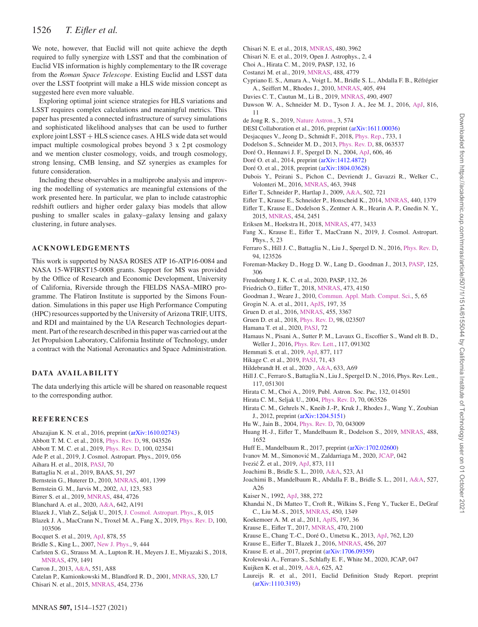# 1526 *T. Eifler et al.*

We note, however, that Euclid will not quite achieve the depth required to fully synergize with LSST and that the combination of Euclid VIS information is highly complementary to the IR coverage from the *Roman Space Telescope*. Existing Euclid and LSST data over the LSST footprint will make a HLS wide mission concept as suggested here even more valuable.

Exploring optimal joint science strategies for HLS variations and LSST requires complex calculations and meaningful metrics. This paper has presented a connected infrastructure of survey simulations and sophisticated likelihood analyses that can be used to further explore joint LSST + HLS science cases. A HLS wide data set would impact multiple cosmological probes beyond 3 x 2 pt cosmology and we mention cluster cosmology, voids, and trough cosmology, strong lensing, CMB lensing, and SZ synergies as examples for future consideration.

Including these observables in a multiprobe analysis and improving the modelling of systematics are meaningful extensions of the work presented here. In particular, we plan to include catastrophic redshift outliers and higher order galaxy bias models that allow pushing to smaller scales in galaxy–galaxy lensing and galaxy clustering, in future analyses.

### **ACKNOWLEDGEMENTS**

This work is supported by NASA ROSES ATP 16-ATP16-0084 and NASA 15-WFIRST15-0008 grants. Support for MS was provided by the Office of Research and Economic Development, University of California, Riverside through the FIELDS NASA–MIRO programme. The Flatiron Institute is supported by the Simons Foundation. Simulations in this paper use High Performance Computing (HPC) resources supported by the University of Arizona TRIF, UITS, and RDI and maintained by the UA Research Technologies department. Part of the research described in this paper was carried out at the Jet Propulsion Laboratory, California Institute of Technology, under a contract with the National Aeronautics and Space Administration.

## **DATA AVA IL AB IL IT Y**

The data underlying this article will be shared on reasonable request to the corresponding author.

#### **REFERENCES**

- <span id="page-12-13"></span>Abazajian K. N. et al., 2016, preprint [\(arXiv:1610.02743\)](http://arxiv.org/abs/1610.02743)
- <span id="page-12-1"></span>Abbott T. M. C. et al., 2018, [Phys. Rev. D,](http://dx.doi.org/10.1103/PhysRevD.98.043526) 98, 043526
- <span id="page-12-2"></span>Abbott T. M. C. et al., 2019, [Phys. Rev. D,](http://dx.doi.org/10.1103/PhysRevD.100.023541) 100, 023541
- <span id="page-12-12"></span>Ade P. et al., 2019, J. Cosmol. Astropart. Phys., 2019, 056
- <span id="page-12-27"></span>Aihara H. et al., 2018, [PASJ,](http://dx.doi.org/10.1093/pasj/psx066) 70
- <span id="page-12-70"></span>Battaglia N. et al., 2019, BAAS, 51, 297
- <span id="page-12-71"></span>Bernstein G., Huterer D., 2010, [MNRAS,](http://dx.doi.org/10.1111/j.1365-2966.2009.15748.x) 401, 1399
- <span id="page-12-32"></span>Bernstein G. M., Jarvis M., 2002, [AJ,](http://dx.doi.org/10.1086/338085) 123, 583
- <span id="page-12-64"></span>Birrer S. et al., 2019, [MNRAS,](http://dx.doi.org/10.1093/mnras/stz200) 484, 4726
- <span id="page-12-17"></span>Blanchard A. et al., 2020, [A&A,](http://dx.doi.org/10.1051/0004-6361/202038071) 642, A191
- <span id="page-12-45"></span>Blazek J., Vlah Z., Seljak U., 2015, [J. Cosmol. Astropart. Phys.,](http://dx.doi.org/10.1088/1475-7516/2015/08/015) 8, 015
- <span id="page-12-49"></span>Blazek J. A., MacCrann N., Troxel M. A., Fang X., 2019, [Phys. Rev. D,](http://dx.doi.org/10.1103/PhysRevD.100.103506) 100, 103506
- <span id="page-12-66"></span>Bocquet S. et al., 2019, [ApJ,](http://dx.doi.org/10.3847/1538-4357/ab1f10) 878, 55
- <span id="page-12-48"></span>Bridle S., King L., 2007, [New J. Phys.,](http://dx.doi.org/10.1088/1367-2630/9/12/444) 9, 444
- <span id="page-12-34"></span>Carlsten S. G., Strauss M. A., Lupton R. H., Meyers J. E., Miyazaki S., 2018, [MNRAS,](http://dx.doi.org/10.1093/mnras/sty1636) 479, 1491
- <span id="page-12-24"></span>Carron J., 2013, [A&A,](http://dx.doi.org/10.1051/0004-6361/201220538) 551, A88
- <span id="page-12-47"></span>Catelan P., Kamionkowski M., Blandford R. D., 2001, [MNRAS,](http://dx.doi.org/10.1046/j.1365-8711.2001.04105.x) 320, L7
- <span id="page-12-46"></span>Chisari N. et al., 2015, [MNRAS,](http://dx.doi.org/10.1093/mnras/stv2154) 454, 2736
- <span id="page-12-52"></span>Chisari N. E. et al., 2018, [MNRAS,](http://dx.doi.org/10.1093/mnras/sty2093) 480, 3962
- <span id="page-12-55"></span>Chisari N. E. et al., 2019, Open J. Astrophys., 2, 4
- <span id="page-12-40"></span>Choi A., Hirata C. M., 2019, PASP, 132, 16
- <span id="page-12-58"></span>Costanzi M. et al., 2019, [MNRAS,](http://dx.doi.org/10.1093/mnras/stz1949) 488, 4779
- <span id="page-12-33"></span>Cypriano E. S., Amara A., Voigt L. M., Bridle S. L., Abdalla F. B., Réfrégier A., Seiffert M., Rhodes J., 2010, [MNRAS,](http://dx.doi.org/10.1111/j.1365-2966.2010.16461.x) 405, 494
- <span id="page-12-61"></span>Davies C. T., Cautun M., Li B., 2019, [MNRAS,](http://dx.doi.org/10.1093/mnras/stz2933) 490, 4907
- <span id="page-12-39"></span>Dawson W. A., Schneider M. D., Tyson J. A., Jee M. J., 2016, [ApJ,](http://dx.doi.org/10.3847/0004-637X/816/1/11) 816, 11
- <span id="page-12-11"></span>de Jong R. S., 2019, [Nature Astron.,](http://dx.doi.org/10.1038/s41550-019-0808-x) 3, 574
- <span id="page-12-10"></span>DESI Collaboration et al., 2016, preprint [\(arXiv:1611.00036\)](http://arxiv.org/abs/1611.00036)
- <span id="page-12-36"></span>Desjacques V., Jeong D., Schmidt F., 2018, [Phys. Rep.,](http://dx.doi.org/10.1016/j.physrep.2017.12.002) 733, 1
- <span id="page-12-21"></span>Dodelson S., Schneider M. D., 2013, [Phys. Rev. D,](http://dx.doi.org/10.1103/PhysRevD.88.063537) 88, 063537
- <span id="page-12-67"></span>Doré O., Hennawi J. F., Spergel D. N., 2004, [ApJ,](http://dx.doi.org/10.1086/382946) 606, 46
- <span id="page-12-9"></span>Doré O. et al., 2014, preprint ([arXiv:1412.4872\)](http://arxiv.org/abs/1412.4872)
- <span id="page-12-14"></span>Doré O. et al., 2018, preprint ([arXiv:1804.03628\)](http://arxiv.org/abs/1804.03628)
- <span id="page-12-57"></span>Dubois Y., Peirani S., Pichon C., Devriendt J., Gavazzi R., Welker C., Volonteri M., 2016, [MNRAS,](http://dx.doi.org/10.1093/mnras/stw2265) 463, 3948
- <span id="page-12-23"></span>Eifler T., Schneider P., Hartlap J., 2009, [A&A,](http://dx.doi.org/10.1051/0004-6361/200811276) 502, 721
- <span id="page-12-15"></span>Eifler T., Krause E., Schneider P., Honscheid K., 2014, [MNRAS,](http://dx.doi.org/10.1093/mnras/stu251) 440, 1379
- <span id="page-12-53"></span>Eifler T., Krause E., Dodelson S., Zentner A. R., Hearin A. P., Gnedin N. Y., 2015, [MNRAS,](http://dx.doi.org/10.1093/mnras/stv2000) 454, 2451
- <span id="page-12-35"></span>Eriksen M., Hoekstra H., 2018, [MNRAS,](http://dx.doi.org/10.1093/mnras/sty830) 477, 3433
- <span id="page-12-20"></span>Fang X., Krause E., Eifler T., MacCrann N., 2019, J. Cosmol. Astropart. Phys., 5, 23
- <span id="page-12-68"></span>Ferraro S., Hill J. C., Battaglia N., Liu J., Spergel D. N., 2016, [Phys. Rev. D,](http://dx.doi.org/10.1103/PhysRevD.94.123526) 94, 123526
- <span id="page-12-25"></span>Foreman-Mackey D., Hogg D. W., Lang D., Goodman J., 2013, [PASP,](http://dx.doi.org/10.1086/670067) 125, 306
- <span id="page-12-42"></span>Freudenburg J. K. C. et al., 2020, PASP, 132, 26
- <span id="page-12-22"></span>Friedrich O., Eifler T., 2018, [MNRAS,](http://dx.doi.org/10.1093/mnras/stx2566) 473, 4150
- <span id="page-12-26"></span>Goodman J., Weare J., 2010, [Commun. Appl. Math. Comput. Sci.,](http://dx.doi.org/ 10.2140/camcos.2010.5.65 ) 5, 65
- <span id="page-12-30"></span>Grogin N. A. et al., 2011, [ApJS,](http://dx.doi.org/10.1088/0067-0049/197/2/35) 197, 35
- <span id="page-12-62"></span>Gruen D. et al., 2016, [MNRAS,](http://dx.doi.org/10.1093/mnras/stv2506) 455, 3367
- <span id="page-12-63"></span>Gruen D. et al., 2018, [Phys. Rev. D,](http://dx.doi.org/10.1103/PhysRevD.98.023507) 98, 023507
- <span id="page-12-5"></span>Hamana T. et al., 2020, [PASJ,](http://dx.doi.org/10.1093/pasj/psz138) 72
- <span id="page-12-60"></span>Hamaus N., Pisani A., Sutter P. M., Lavaux G., Escoffier S., Wand elt B. D., Weller J., 2016, [Phys. Rev. Lett.,](http://dx.doi.org/ 10.1103/PhysRevLett.117.091302) 117, 091302
- <span id="page-12-29"></span>Hemmati S. et al., 2019, [ApJ,](http://dx.doi.org/10.3847/1538-4357/ab1be5) 877, 117
- <span id="page-12-6"></span>Hikage C. et al., 2019, [PASJ,](http://dx.doi.org/10.1093/pasj/psz010) 71, 43
- <span id="page-12-3"></span>Hildebrandt H. et al., 2020 , [A&A,](http://dx.doi.org/10.1051/0004-6361/201834878 ) 633, A69
- <span id="page-12-69"></span>Hill J. C., Ferraro S., Battaglia N., Liu J., Spergel D. N., 2016, Phys. Rev. Lett., 117, 051301
- <span id="page-12-41"></span>Hirata C. M., Choi A., 2019, Publ. Astron. Soc. Pac, 132, 014501
- <span id="page-12-43"></span>Hirata C. M., Seljak U., 2004, [Phys. Rev. D,](http://dx.doi.org/10.1103/PhysRevD.70.063526) 70, 063526
- <span id="page-12-28"></span>Hirata C. M., Gehrels N., Kneib J.-P., Kruk J., Rhodes J., Wang Y., Zoubian J., 2012, preprint [\(arXiv:1204.5151\)](http://arxiv.org/abs/1204.5151)
- <span id="page-12-18"></span>Hu W., Jain B., 2004, [Phys. Rev. D,](http://dx.doi.org/10.1103/PhysRevD.70.043009) 70, 043009
- <span id="page-12-54"></span>Huang H.-J., Eifler T., Mandelbaum R., Dodelson S., 2019, [MNRAS,](http://dx.doi.org/10.1093/mnras/stz1714) 488, 1652
- <span id="page-12-38"></span>Huff E., Mandelbaum R., 2017, preprint [\(arXiv:1702.02600\)](http://arxiv.org/abs/1702.02600)
- <span id="page-12-37"></span>Ivanov M. M., Simonović M., Zaldarriaga M., 2020, [JCAP,](http://dx.doi.org/ 10.1088/1475-7516/2020/05/042) 042
- <span id="page-12-7"></span>Ivezić Ž. et al., 2019, [ApJ,](http://dx.doi.org/10.3847/1538-4357/ab042c) 873, 111
- <span id="page-12-44"></span>Joachimi B., Bridle S. L., 2010, [A&A,](http://dx.doi.org/10.1051/0004-6361/200913657) 523, A1
- <span id="page-12-51"></span>Joachimi B., Mandelbaum R., Abdalla F. B., Bridle S. L., 2011, [A&A,](http://dx.doi.org/10.1051/0004-6361/201015621) 527, A26
- <span id="page-12-19"></span>Kaiser N., 1992, [ApJ,](http://dx.doi.org/10.1086/171151) 388, 272
- <span id="page-12-56"></span>Khandai N., Di Matteo T., Croft R., Wilkins S., Feng Y., Tucker E., DeGraf C., Liu M.-S., 2015, [MNRAS,](http://dx.doi.org/10.1093/mnras/stv627) 450, 1349
- <span id="page-12-31"></span>Koekemoer A. M. et al., 2011, [ApJS,](http://dx.doi.org/10.1088/0067-0049/197/2/36) 197, 36
- <span id="page-12-16"></span>Krause E., Eifler T., 2017, [MNRAS,](http://dx.doi.org/10.1093/mnras/stx1261) 470, 2100
- <span id="page-12-59"></span>Krause E., Chang T.-C., Doré O., Umetsu K., 2013, [ApJ,](http://dx.doi.org/10.1088/2041-8205/762/2/L20) 762, L20
- <span id="page-12-50"></span>Krause E., Eifler T., Blazek J., 2016, [MNRAS,](http://dx.doi.org/10.1093/mnras/stv2615) 456, 207
- <span id="page-12-0"></span>Krause E. et al., 2017, preprint [\(arXiv:1706.09359\)](http://arxiv.org/abs/1706.09359)
- <span id="page-12-65"></span>Krolewski A., Ferraro S., Schlafly E. F., White M., 2020, JCAP, 047
- <span id="page-12-4"></span>Kuijken K. et al., 2019, [A&A,](http://dx.doi.org/10.1051/0004-6361/201834918) 625, A2
- <span id="page-12-8"></span>Laureijs R. et al., 2011, Euclid Definition Study Report. preprint [\(arXiv:1110.3193\)](http://arxiv.org/abs/1110.3193)